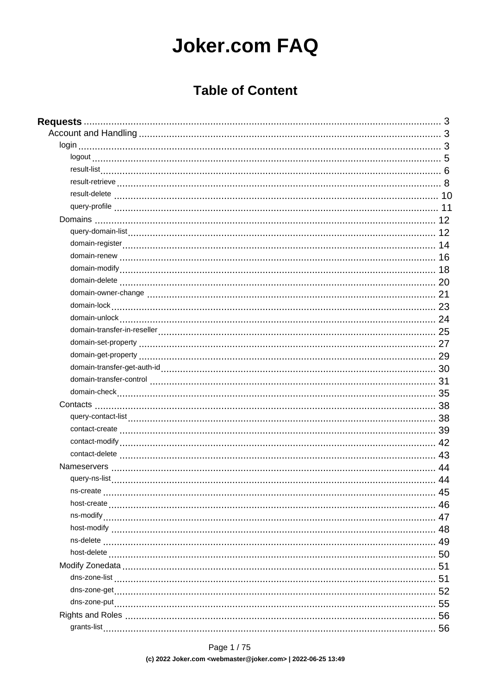# **Joker.com FAQ**

## **Table of Content**

| 45 |
|----|
|    |
|    |
|    |
|    |
|    |
| 51 |
| 51 |
| 52 |
|    |
|    |
|    |
|    |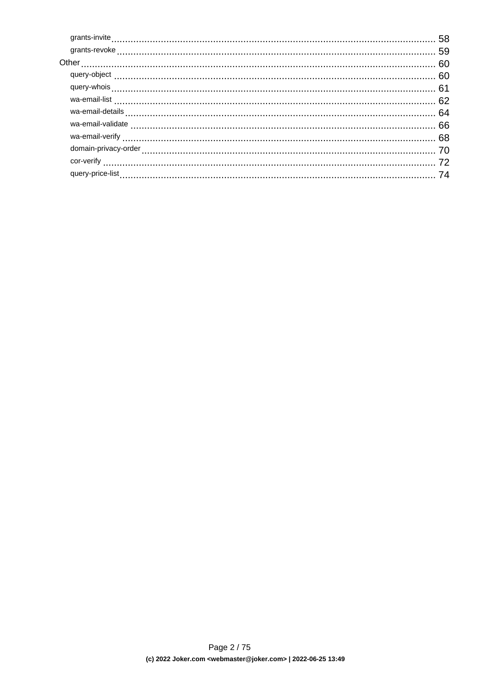|                  | wa-email-details |  |
|------------------|------------------|--|
|                  |                  |  |
|                  |                  |  |
|                  |                  |  |
|                  |                  |  |
| query-price-list |                  |  |
|                  |                  |  |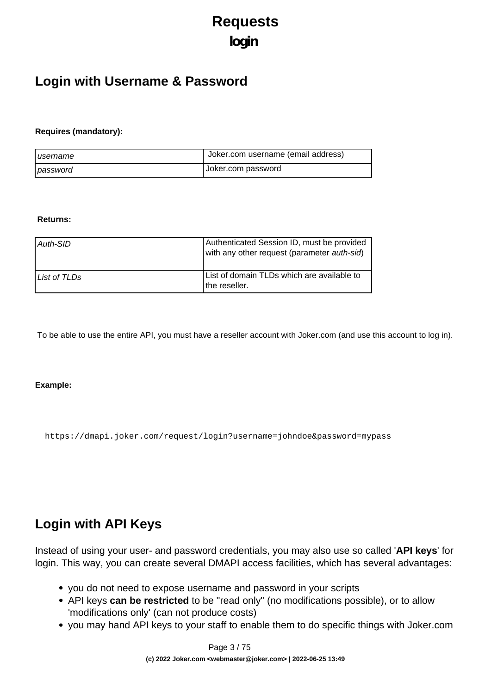# **Requests login**

## <span id="page-2-0"></span>**Login with Username & Password**

#### **Requires (mandatory):**

| I username | Uoker.com username (email address) |
|------------|------------------------------------|
| password   | Joker.com password                 |

#### **Returns:**

| Auth-SID     | Authenticated Session ID, must be provided<br>with any other request (parameter auth-sid) |
|--------------|-------------------------------------------------------------------------------------------|
| List of TLDs | List of domain TLDs which are available to<br>the reseller.                               |

To be able to use the entire API, you must have a reseller account with Joker.com (and use this account to log in).

#### **Example:**

https://dmapi.joker.com/request/login?username=johndoe&password=mypass

## **Login with API Keys**

Instead of using your user- and password credentials, you may also use so called '**API keys**' for login. This way, you can create several DMAPI access facilities, which has several advantages:

- you do not need to expose username and password in your scripts
- API keys **can be restricted** to be "read only" (no modifications possible), or to allow 'modifications only' (can not produce costs)
- you may hand API keys to your staff to enable them to do specific things with Joker.com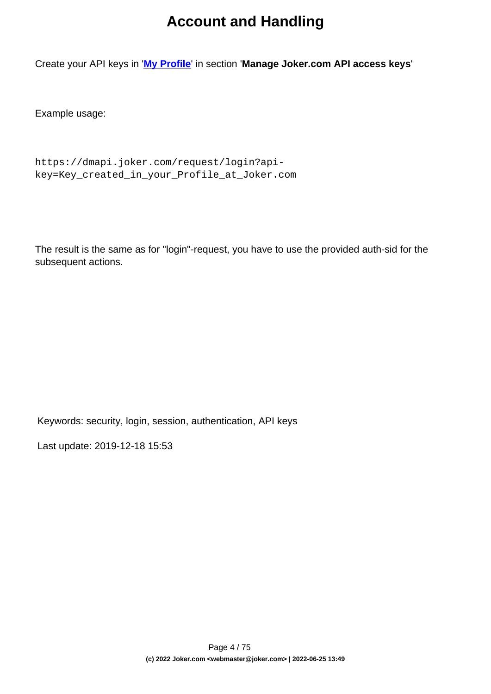## **Account and Handling**

Create your API keys in '**[My Profile](/goto/myjoker)**' in section '**Manage Joker.com API access keys**'

Example usage:

```
https://dmapi.joker.com/request/login?api-
key=Key_created_in_your_Profile_at_Joker.com
```
The result is the same as for "login"-request, you have to use the provided auth-sid for the subsequent actions.

Keywords: security, login, session, authentication, API keys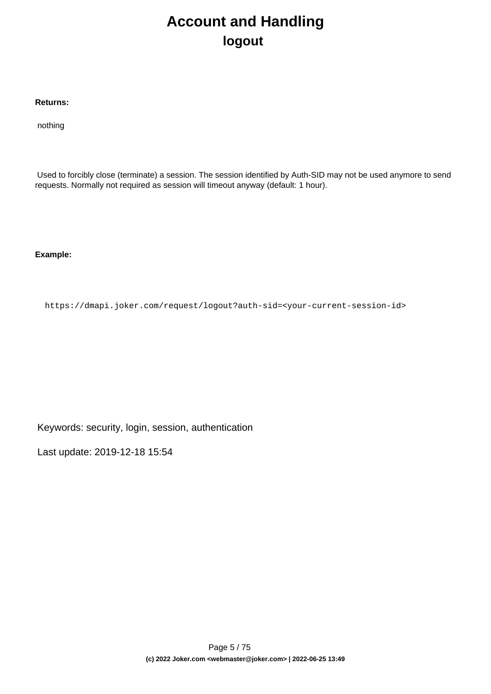# **Account and Handling logout**

#### <span id="page-4-0"></span>**Returns:**

nothing

 Used to forcibly close (terminate) a session. The session identified by Auth-SID may not be used anymore to send requests. Normally not required as session will timeout anyway (default: 1 hour).

**Example:**

https://dmapi.joker.com/request/logout?auth-sid=<your-current-session-id>

Keywords: security, login, session, authentication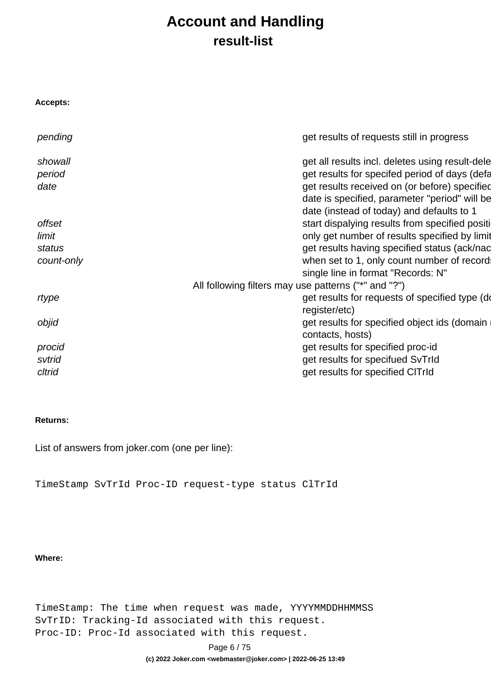## **Account and Handling result-list**

<span id="page-5-0"></span>

| Accepts:   |                                                      |
|------------|------------------------------------------------------|
| pending    | get results of requests still in progress            |
| showall    | get all results incl. deletes using result-dele      |
| period     | get results for specifed period of days (defa        |
| date       | get results received on (or before) specified        |
|            | date is specified, parameter "period" will be        |
|            | date (instead of today) and defaults to 1            |
| offset     | start dispalying results from specified positi       |
| limit      | only get number of results specified by limit        |
| status     | get results having specified status (ack/nac         |
| count-only | when set to 1, only count number of record           |
|            | single line in format "Records: N"                   |
|            | All following filters may use patterns ("*" and "?") |
| rtype      | get results for requests of specified type (do       |
|            | register/etc)                                        |
| objid      | get results for specified object ids (domain         |
|            | contacts, hosts)                                     |
| procid     | get results for specified proc-id                    |
| svtrid     | get results for specifued SvTrId                     |
| cltrid     | get results for specified CITrId                     |

#### **Returns:**

List of answers from joker.com (one per line):

TimeStamp SvTrId Proc-ID request-type status ClTrId

#### **Where:**

TimeStamp: The time when request was made, YYYYMMDDHHMMSS SvTrID: Tracking-Id associated with this request. Proc-ID: Proc-Id associated with this request.

Page 6 / 75

**(c) 2022 Joker.com <webmaster@joker.com> | 2022-06-25 13:49**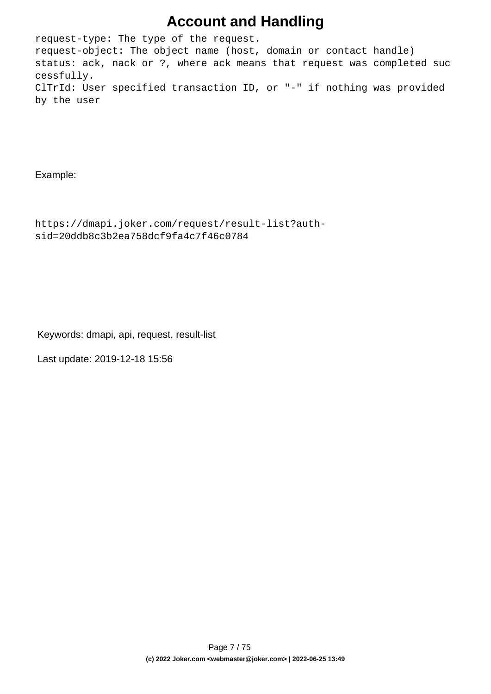## **Account and Handling**

request-type: The type of the request. request-object: The object name (host, domain or contact handle) status: ack, nack or ?, where ack means that request was completed suc cessfully. ClTrId: User specified transaction ID, or "-" if nothing was provided by the user

Example:

```
https://dmapi.joker.com/request/result-list?auth-
sid=20ddb8c3b2ea758dcf9fa4c7f46c0784
```
Keywords: dmapi, api, request, result-list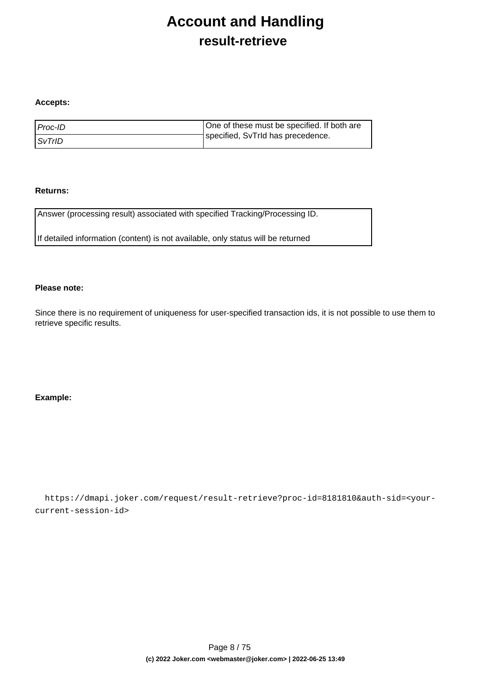## **Account and Handling result-retrieve**

#### <span id="page-7-0"></span>**Accepts:**

| l Proc-ID     | One of these must be specified. If both are |
|---------------|---------------------------------------------|
| <i>SvTrID</i> | specified, SvTrId has precedence.           |

#### **Returns:**

Answer (processing result) associated with specified Tracking/Processing ID.

If detailed information (content) is not available, only status will be returned

#### **Please note:**

Since there is no requirement of uniqueness for user-specified transaction ids, it is not possible to use them to retrieve specific results.

#### **Example:**

 https://dmapi.joker.com/request/result-retrieve?proc-id=8181810&auth-sid=<yourcurrent-session-id>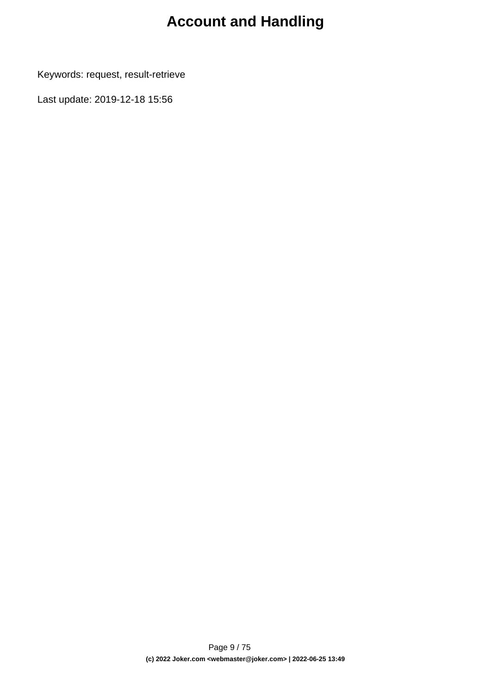# **Account and Handling**

Keywords: request, result-retrieve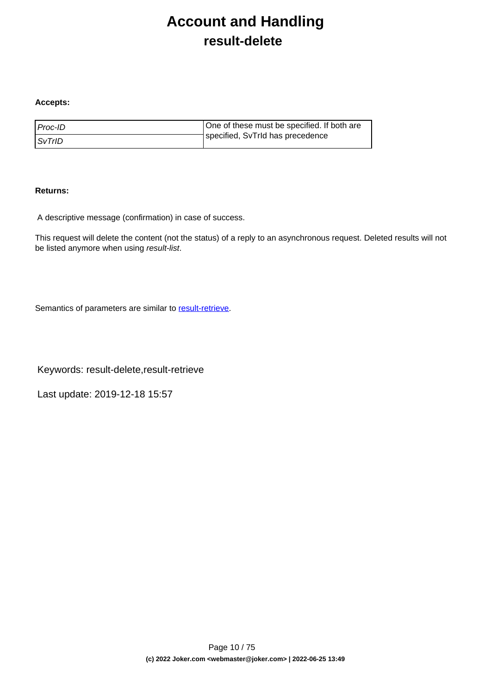# **Account and Handling result-delete**

#### <span id="page-9-0"></span>**Accepts:**

| l Proc-ID     | One of these must be specified. If both are |
|---------------|---------------------------------------------|
| <i>SvTrID</i> | specified, SvTrId has precedence            |

#### **Returns:**

A descriptive message (confirmation) in case of success.

This request will delete the content (not the status) of a reply to an asynchronous request. Deleted results will not be listed anymore when using result-list.

Semantics of parameters are similar to [result-retrieve.](index.php?action=artikel&cat=26&id=17&artlang=en)

Keywords: result-delete,result-retrieve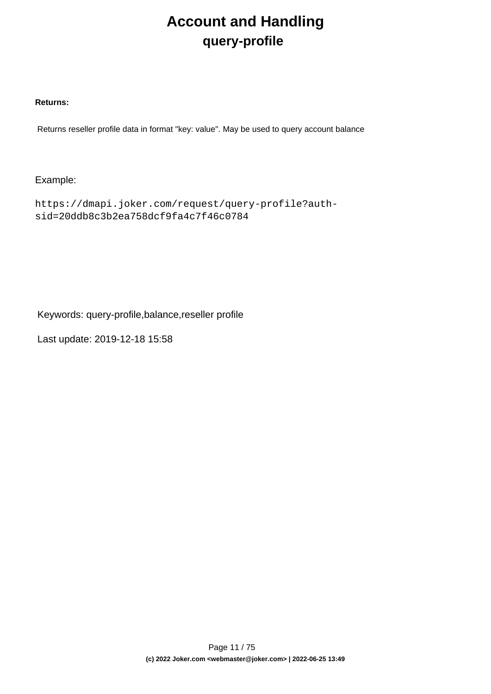# **Account and Handling query-profile**

#### <span id="page-10-0"></span>**Returns:**

Returns reseller profile data in format "key: value". May be used to query account balance

### Example:

```
https://dmapi.joker.com/request/query-profile?auth-
sid=20ddb8c3b2ea758dcf9fa4c7f46c0784
```
Keywords: query-profile,balance,reseller profile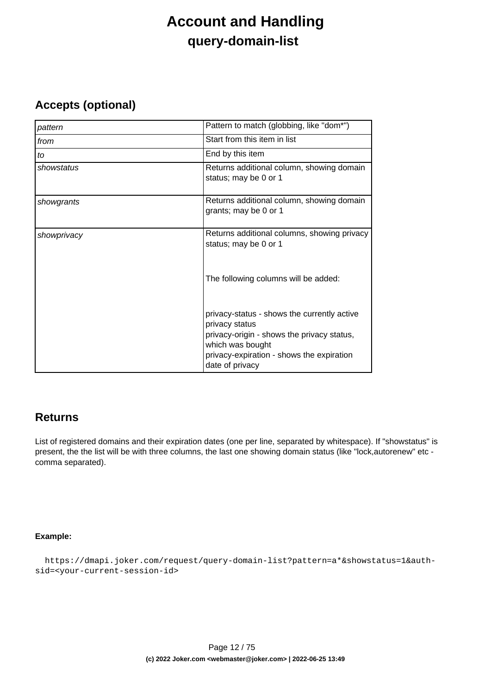# **Account and Handling query-domain-list**

### <span id="page-11-0"></span>**Accepts (optional)**

| pattern     | Pattern to match (globbing, like "dom*")                                                                                                                                                        |
|-------------|-------------------------------------------------------------------------------------------------------------------------------------------------------------------------------------------------|
| from        | Start from this item in list                                                                                                                                                                    |
| to          | End by this item                                                                                                                                                                                |
| showstatus  | Returns additional column, showing domain<br>status; may be 0 or 1                                                                                                                              |
| showgrants  | Returns additional column, showing domain<br>grants; may be 0 or 1                                                                                                                              |
| showprivacy | Returns additional columns, showing privacy<br>status; may be 0 or 1                                                                                                                            |
|             | The following columns will be added:                                                                                                                                                            |
|             | privacy-status - shows the currently active<br>privacy status<br>privacy-origin - shows the privacy status,<br>which was bought<br>privacy-expiration - shows the expiration<br>date of privacy |

### **Returns**

List of registered domains and their expiration dates (one per line, separated by whitespace). If "showstatus" is present, the the list will be with three columns, the last one showing domain status (like "lock,autorenew" etc comma separated).

#### **Example:**

```
 https://dmapi.joker.com/request/query-domain-list?pattern=a*&showstatus=1&auth-
sid=<your-current-session-id>
```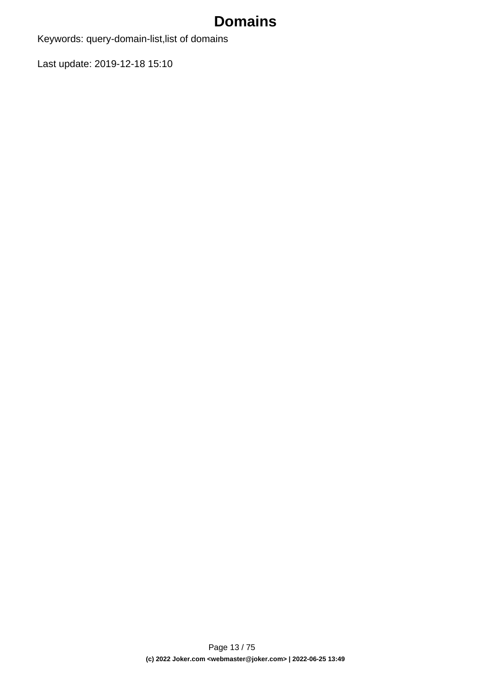Keywords: query-domain-list,list of domains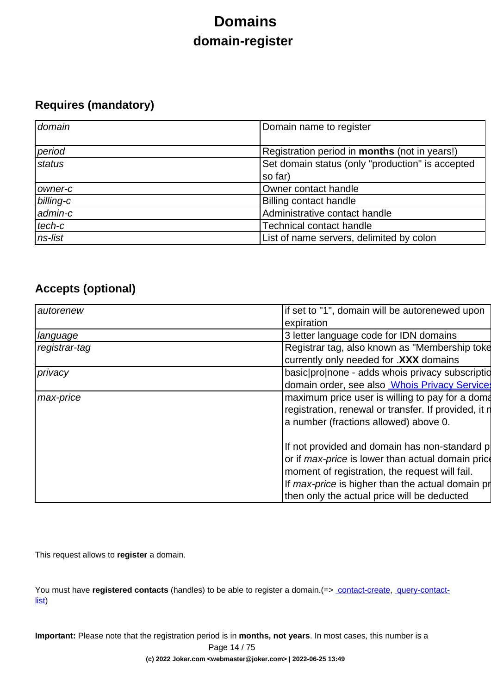# **Domains domain-register**

## <span id="page-13-0"></span>**Requires (mandatory)**

| domain    | Domain name to register                              |
|-----------|------------------------------------------------------|
| period    | Registration period in <b>months</b> (not in years!) |
| status    | Set domain status (only "production" is accepted     |
|           | so far)                                              |
| owner-c   | Owner contact handle                                 |
| billing-c | <b>Billing contact handle</b>                        |
| admin-c   | Administrative contact handle                        |
| tech-c    | <b>Technical contact handle</b>                      |
| ns-list   | List of name servers, delimited by colon             |

## **Accepts (optional)**

| autorenew     | if set to "1", domain will be autorenewed upon           |
|---------------|----------------------------------------------------------|
|               | expiration                                               |
| language      | 3 letter language code for IDN domains                   |
| registrar-tag | Registrar tag, also known as "Membership toke            |
|               | currently only needed for .XXX domains                   |
| privacy       | basic pro none - adds whois privacy subscription         |
|               | domain order, see also <b>Whois Privacy Services</b>     |
| max-price     | maximum price user is willing to pay for a doma          |
|               | registration, renewal or transfer. If provided, it n     |
|               | a number (fractions allowed) above 0.                    |
|               |                                                          |
|               | If not provided and domain has non-standard p            |
|               | or if <i>max-price</i> is lower than actual domain price |
|               | moment of registration, the request will fail.           |
|               | If max-price is higher than the actual domain pr         |
|               | then only the actual price will be deducted              |

This request allows to **register** a domain.

You must have **registered contacts** (handles) to be able to register a domain.(=> [contact-create](index.php?action=artikel&cat=28&id=30&artlang=en), [query-contact](index.php?action=artikel&cat=28&id=29&artlang=en)[list\)](index.php?action=artikel&cat=28&id=29&artlang=en)

**Important:** Please note that the registration period is in **months, not years**. In most cases, this number is a

Page 14 / 75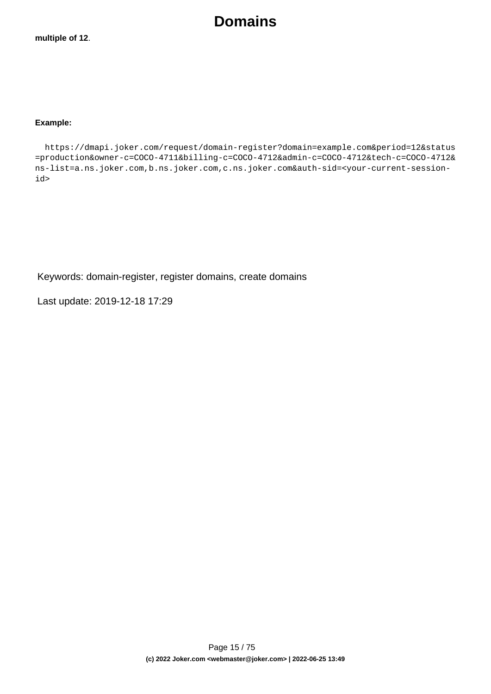#### **Example:**

 https://dmapi.joker.com/request/domain-register?domain=example.com&period=12&status =production&owner-c=COCO-4711&billing-c=COCO-4712&admin-c=COCO-4712&tech-c=COCO-4712& ns-list=a.ns.joker.com,b.ns.joker.com,c.ns.joker.com&auth-sid=<your-current-sessionid>

Keywords: domain-register, register domains, create domains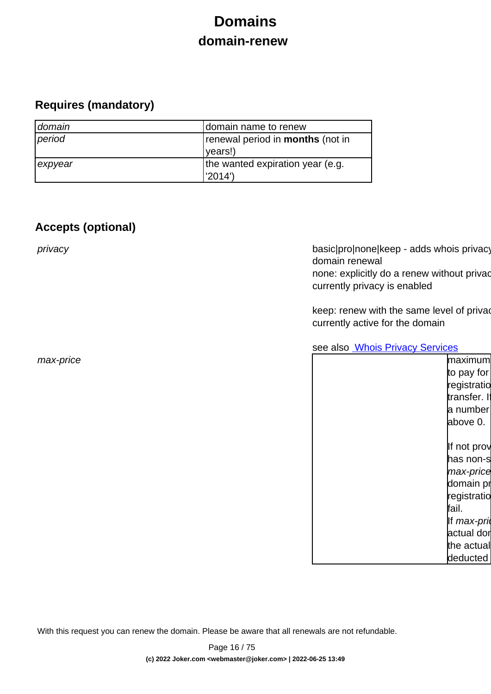# **Domains domain-renew**

## <span id="page-15-0"></span>**Requires (mandatory)**

| domain  | domain name to renew                    |
|---------|-----------------------------------------|
| period  | renewal period in <b>months</b> (not in |
|         | (vears!)                                |
| expyear | the wanted expiration year (e.g.        |
|         | 2014')                                  |

## **Accepts (optional)**

privacy basic|pro|none|keep - adds whois privacy domain renewal none: explicitly do a renew without privac currently privacy is enabled

> keep: renew with the same level of privac currently active for the domain

see also **[Whois Privacy Services](index.php?action=artikel&cat=22&id=477&artlang=en)** 

| max-price | maximum       |
|-----------|---------------|
|           | to pay for    |
|           | registratio   |
|           | transfer. If  |
|           | a number      |
|           | above 0.      |
|           |               |
|           | If not prov   |
|           | has non-s     |
|           | max-price     |
|           | domain pr     |
|           | registratio   |
|           | fail.         |
|           | If $max$ -pri |
|           | actual dor    |
|           | the actual    |
|           | deducted      |
|           |               |

With this request you can renew the domain. Please be aware that all renewals are not refundable.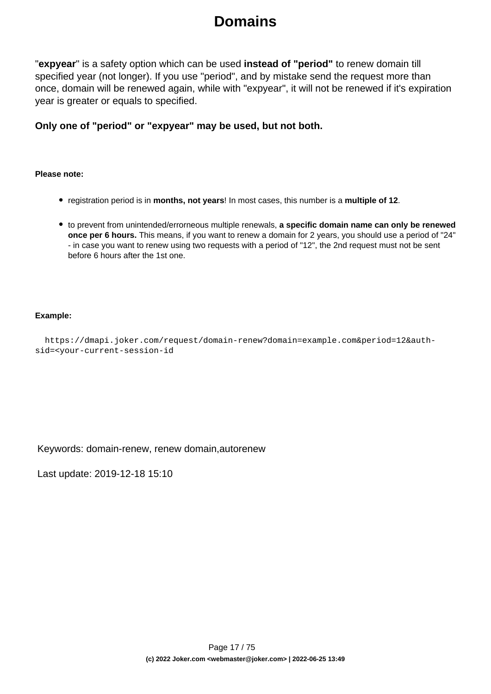"**expyear**" is a safety option which can be used **instead of "period"** to renew domain till specified year (not longer). If you use "period", and by mistake send the request more than once, domain will be renewed again, while with "expyear", it will not be renewed if it's expiration year is greater or equals to specified.

**Only one of "period" or "expyear" may be used, but not both.**

#### **Please note:**

- registration period is in **months, not years**! In most cases, this number is a **multiple of 12**.
- to prevent from unintended/errorneous multiple renewals, **a specific domain name can only be renewed once per 6 hours.** This means, if you want to renew a domain for 2 years, you should use a period of "24" - in case you want to renew using two requests with a period of "12", the 2nd request must not be sent before 6 hours after the 1st one.

#### **Example:**

```
 https://dmapi.joker.com/request/domain-renew?domain=example.com&period=12&auth-
sid=<your-current-session-id
```
Keywords: domain-renew, renew domain,autorenew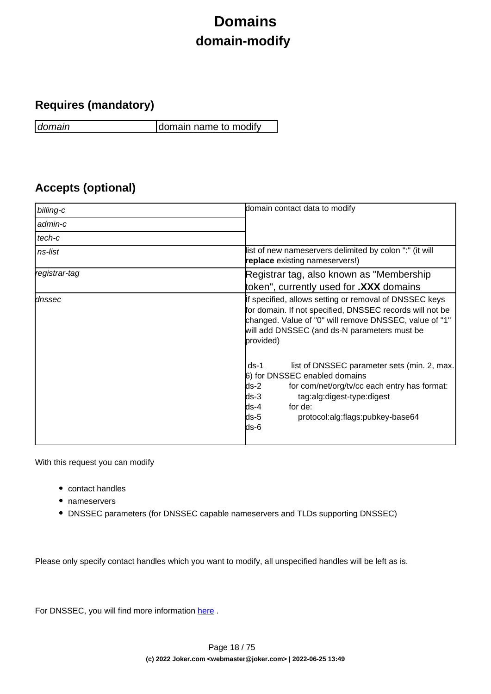# **Domains domain-modify**

## <span id="page-17-0"></span>**Requires (mandatory)**

domain domain name to modify

## **Accepts (optional)**

| billing-c     | domain contact data to modify                                                                                                                                                                                                                                   |
|---------------|-----------------------------------------------------------------------------------------------------------------------------------------------------------------------------------------------------------------------------------------------------------------|
| admin-c       |                                                                                                                                                                                                                                                                 |
| tech-c        |                                                                                                                                                                                                                                                                 |
| ns-list       | list of new nameservers delimited by colon ":" (it will<br><b>replace</b> existing nameservers!)                                                                                                                                                                |
| registrar-tag | Registrar tag, also known as "Membership"                                                                                                                                                                                                                       |
|               | token", currently used for <b>.XXX</b> domains                                                                                                                                                                                                                  |
| dnssec        | If specified, allows setting or removal of DNSSEC keys<br>for domain. If not specified, DNSSEC records will not be<br>changed. Value of "0" will remove DNSSEC, value of "1"<br>will add DNSSEC (and ds-N parameters must be<br>provided)                       |
|               | $ds-1$<br>list of DNSSEC parameter sets (min. 2, max.<br>6) for DNSSEC enabled domains<br>$ds-2$<br>for com/net/org/tv/cc each entry has format:<br>$ds-3$<br>tag:alg:digest-type:digest<br>ds-4<br>for de:<br>ds-5<br>protocol:alg:flags:pubkey-base64<br>ds-6 |

With this request you can modify

- contact handles
- nameservers
- DNSSEC parameters (for DNSSEC capable nameservers and TLDs supporting DNSSEC)

Please only specify contact handles which you want to modify, all unspecified handles will be left as is.

For DNSSEC, you will find more information here.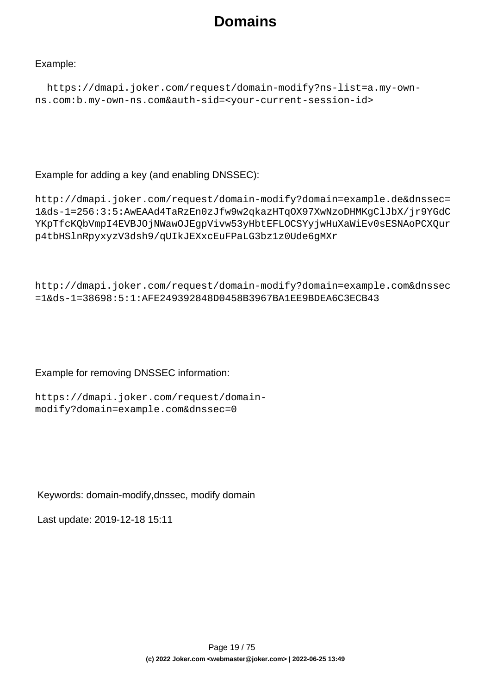### Example:

```
 https://dmapi.joker.com/request/domain-modify?ns-list=a.my-own-
ns.com:b.my-own-ns.com&auth-sid=<your-current-session-id>
```
### Example for adding a key (and enabling DNSSEC):

```
http://dmapi.joker.com/request/domain-modify?domain=example.de&dnssec=
1&ds-1=256:3:5:AwEAAd4TaRzEn0zJfw9w2qkazHTqOX97XwNzoDHMKgClJbX/jr9YGdC
YKpTfcKQbVmpI4EVBJOjNWawOJEgpVivw53yHbtEFLOCSYyjwHuXaWiEv0sESNAoPCXQur
p4tbHSlnRpyxyzV3dsh9/qUIkJEXxcEuFPaLG3bz1z0Ude6gMXr
```

```
http://dmapi.joker.com/request/domain-modify?domain=example.com&dnssec
=1&ds-1=38698:5:1:AFE249392848D0458B3967BA1EE9BDEA6C3ECB43
```
### Example for removing DNSSEC information:

```
https://dmapi.joker.com/request/domain-
modify?domain=example.com&dnssec=0
```
Keywords: domain-modify,dnssec, modify domain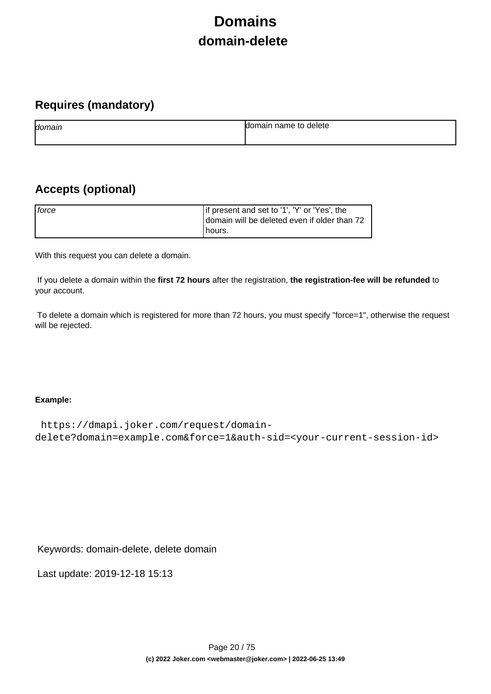# **Domains domain-delete**

## <span id="page-19-0"></span>**Requires (mandatory)**

| domain | name to<br>delete<br>ы |
|--------|------------------------|
|        |                        |

## **Accepts (optional)**

| <i>force</i> | If present and set to '1', 'Y' or 'Yes', the<br>domain will be deleted even if older than 72 |
|--------------|----------------------------------------------------------------------------------------------|
|              | l hours.                                                                                     |

With this request you can delete a domain.

 If you delete a domain within the **first 72 hours** after the registration, **the registration-fee will be refunded** to your account.

 To delete a domain which is registered for more than 72 hours, you must specify "force=1", otherwise the request will be rejected.

#### **Example:**

```
 https://dmapi.joker.com/request/domain-
delete?domain=example.com&force=1&auth-sid=<your-current-session-id>
```
Keywords: domain-delete, delete domain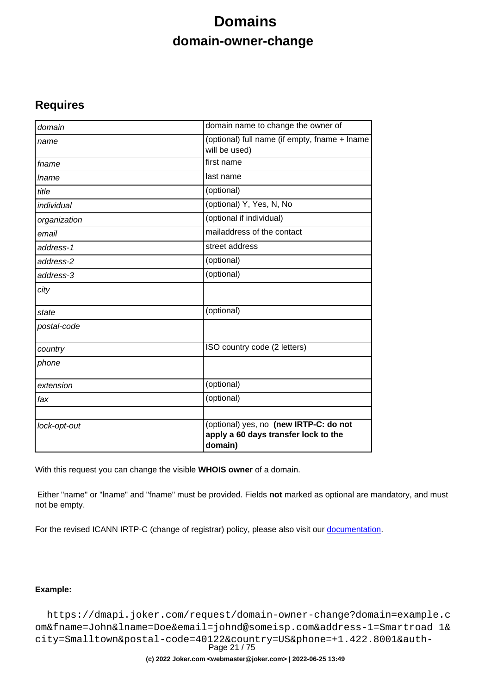# **Domains domain-owner-change**

### <span id="page-20-0"></span>**Requires**

| domain       | domain name to change the owner of                                                        |
|--------------|-------------------------------------------------------------------------------------------|
| name         | (optional) full name (if empty, fname + lname<br>will be used)                            |
| fname        | first name                                                                                |
| <i>Iname</i> | last name                                                                                 |
| title        | (optional)                                                                                |
| individual   | (optional) Y, Yes, N, No                                                                  |
| organization | (optional if individual)                                                                  |
| email        | mailaddress of the contact                                                                |
| address-1    | street address                                                                            |
| address-2    | (optional)                                                                                |
| address-3    | (optional)                                                                                |
| city         |                                                                                           |
| state        | (optional)                                                                                |
| postal-code  |                                                                                           |
| country      | ISO country code (2 letters)                                                              |
| phone        |                                                                                           |
| extension    | (optional)                                                                                |
| fax          | (optional)                                                                                |
| lock-opt-out | (optional) yes, no (new IRTP-C: do not<br>apply a 60 days transfer lock to the<br>domain) |

With this request you can change the visible **WHOIS owner** of a domain.

 Either "name" or "lname" and "fname" must be provided. Fields **not** marked as optional are mandatory, and must not be empty.

For the revised ICANN IRTP-C (change of registrar) policy, please also visit our [documentation](https://joker.com/goto/resdocs).

#### **Example:**

 https://dmapi.joker.com/request/domain-owner-change?domain=example.c om&fname=John&lname=Doe&email=johnd@someisp.com&address-1=Smartroad 1& city=Smalltown&postal-code=40122&country=US&phone=+1.422.8001&auth-Page 21 / 75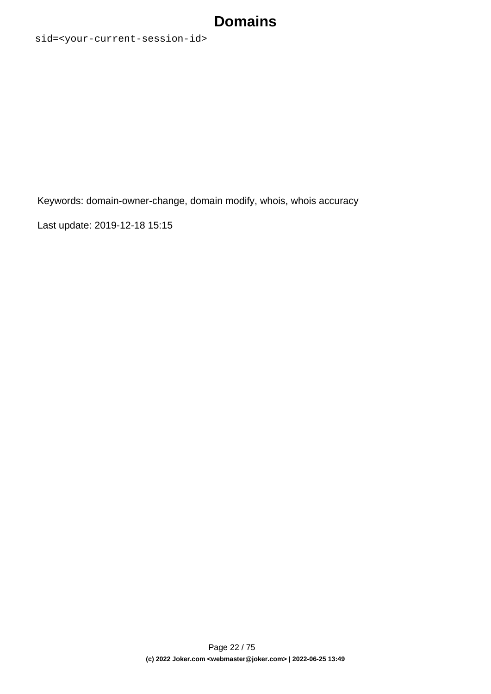sid=<your-current-session-id>

Keywords: domain-owner-change, domain modify, whois, whois accuracy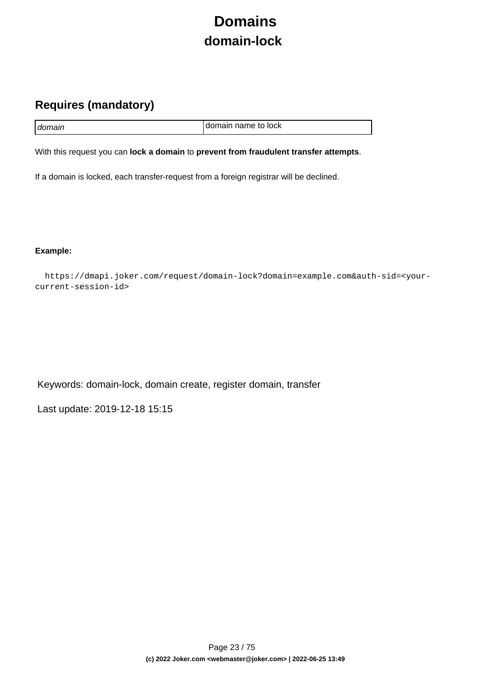# **Domains domain-lock**

## <span id="page-22-0"></span>**Requires (mandatory)**

| I domain | I domain name to lock |
|----------|-----------------------|

With this request you can **lock a domain** to **prevent from fraudulent transfer attempts**.

If a domain is locked, each transfer-request from a foreign registrar will be declined.

**Example:**

 https://dmapi.joker.com/request/domain-lock?domain=example.com&auth-sid=<yourcurrent-session-id>

Keywords: domain-lock, domain create, register domain, transfer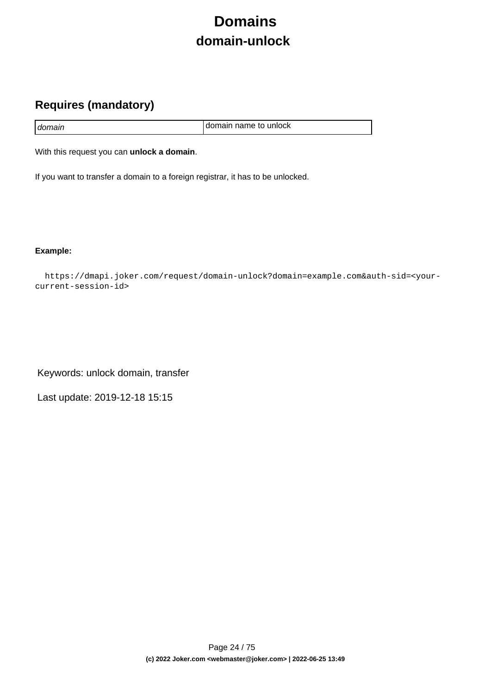# **Domains domain-unlock**

## <span id="page-23-0"></span>**Requires (mandatory)**

| domain | I domain name to unlock |
|--------|-------------------------|
|        |                         |

With this request you can **unlock a domain**.

If you want to transfer a domain to a foreign registrar, it has to be unlocked.

**Example:**

 https://dmapi.joker.com/request/domain-unlock?domain=example.com&auth-sid=<yourcurrent-session-id>

Keywords: unlock domain, transfer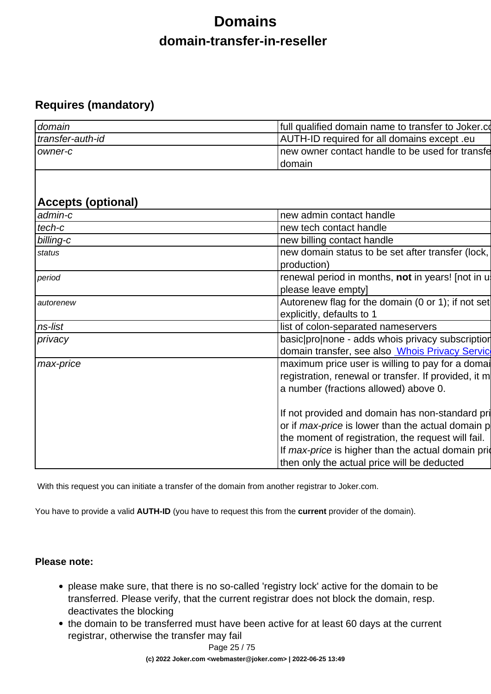# **Domains domain-transfer-in-reseller**

## <span id="page-24-0"></span>**Requires (mandatory)**

| domain           | full qualified domain name to transfer to Joker.com |
|------------------|-----------------------------------------------------|
| transfer-auth-id | AUTH-ID required for all domains except .eu         |
| Towner-c         | Inew owner contact handle to be used for transfe    |
|                  | Idomain                                             |

## **Accepts (optional)**

| admin-c   | new admin contact handle                                                                                                                                                                                                                                                |
|-----------|-------------------------------------------------------------------------------------------------------------------------------------------------------------------------------------------------------------------------------------------------------------------------|
| tech-c    | new tech contact handle                                                                                                                                                                                                                                                 |
| billing-c | new billing contact handle                                                                                                                                                                                                                                              |
| status    | new domain status to be set after transfer (lock,<br>production)                                                                                                                                                                                                        |
| period    | renewal period in months, not in years! [not in u<br>please leave empty]                                                                                                                                                                                                |
| autorenew | Autorenew flag for the domain (0 or 1); if not set<br>explicitly, defaults to 1                                                                                                                                                                                         |
| ns-list   | list of colon-separated nameservers                                                                                                                                                                                                                                     |
| privacy   | basic pronone - adds whois privacy subscription                                                                                                                                                                                                                         |
|           | domain transfer, see also <b>Whois Privacy Servic</b>                                                                                                                                                                                                                   |
| max-price | maximum price user is willing to pay for a domain<br>registration, renewal or transfer. If provided, it m<br>a number (fractions allowed) above 0.                                                                                                                      |
|           | If not provided and domain has non-standard pri<br>or if <i>max-price</i> is lower than the actual domain p<br>the moment of registration, the request will fail.<br>If max-price is higher than the actual domain prior<br>then only the actual price will be deducted |

With this request you can initiate a transfer of the domain from another registrar to Joker.com.

You have to provide a valid **AUTH-ID** (you have to request this from the **current** provider of the domain).

### **Please note:**

- please make sure, that there is no so-called 'registry lock' active for the domain to be transferred. Please verify, that the current registrar does not block the domain, resp. deactivates the blocking
- the domain to be transferred must have been active for at least 60 days at the current registrar, otherwise the transfer may fail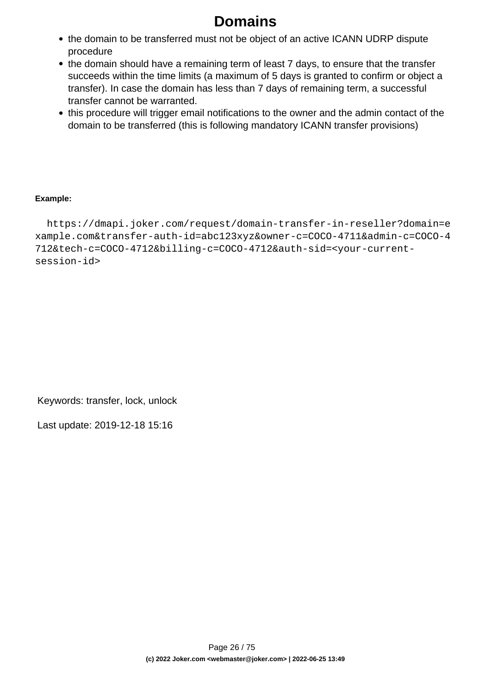- the domain to be transferred must not be object of an active ICANN UDRP dispute procedure
- the domain should have a remaining term of least 7 days, to ensure that the transfer succeeds within the time limits (a maximum of 5 days is granted to confirm or object a transfer). In case the domain has less than 7 days of remaining term, a successful transfer cannot be warranted.
- this procedure will trigger email notifications to the owner and the admin contact of the domain to be transferred (this is following mandatory ICANN transfer provisions)

#### **Example:**

 https://dmapi.joker.com/request/domain-transfer-in-reseller?domain=e xample.com&transfer-auth-id=abc123xyz&owner-c=COCO-4711&admin-c=COCO-4 712&tech-c=COCO-4712&billing-c=COCO-4712&auth-sid=<your-currentsession-id>

Keywords: transfer, lock, unlock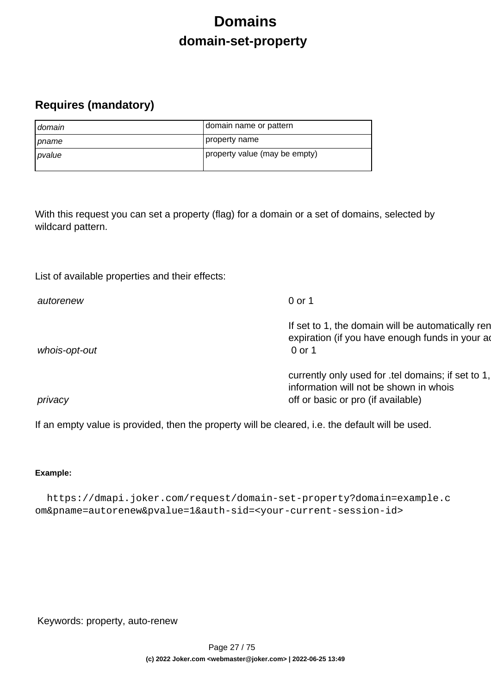# **Domains domain-set-property**

## <span id="page-26-0"></span>**Requires (mandatory)**

| domain         | domain name or pattern        |
|----------------|-------------------------------|
| <i>I pname</i> | property name                 |
| pvalue         | property value (may be empty) |

With this request you can set a property (flag) for a domain or a set of domains, selected by wildcard pattern.

List of available properties and their effects:

| autorenew     | 0 or 1                                                                                                                             |
|---------------|------------------------------------------------------------------------------------------------------------------------------------|
| whois-opt-out | If set to 1, the domain will be automatically ren<br>expiration (if you have enough funds in your ad<br>0 or 1                     |
| privacy       | currently only used for .tel domains; if set to 1,<br>information will not be shown in whois<br>off or basic or pro (if available) |

If an empty value is provided, then the property will be cleared, i.e. the default will be used.

### **Example:**

 https://dmapi.joker.com/request/domain-set-property?domain=example.c om&pname=autorenew&pvalue=1&auth-sid=<your-current-session-id>

Keywords: property, auto-renew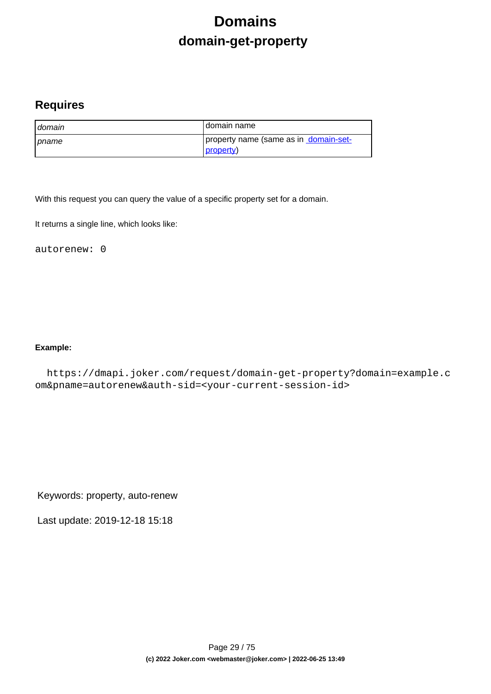# **Domains domain-get-property**

### <span id="page-28-0"></span>**Requires**

| domain         | I domain name                                      |
|----------------|----------------------------------------------------|
| <b>∣</b> pname | property name (same as in domain-set-<br>property) |

With this request you can query the value of a specific property set for a domain.

It returns a single line, which looks like:

autorenew: 0

#### **Example:**

 https://dmapi.joker.com/request/domain-get-property?domain=example.c om&pname=autorenew&auth-sid=<your-current-session-id>

Keywords: property, auto-renew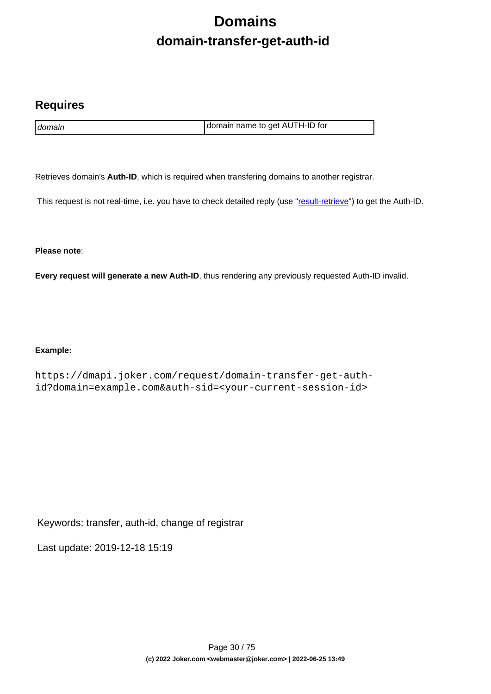# **Domains domain-transfer-get-auth-id**

### <span id="page-29-0"></span>**Requires**

domain domain name to get AUTH-ID for

Retrieves domain's **Auth-ID**, which is required when transfering domains to another registrar.

This request is not real-time, i.e. you have to check detailed reply (use "[result-retrieve"](index.php?action=artikel&cat=26&id=17&artlang=en)) to get the Auth-ID.

**Please note**:

**Every request will generate a new Auth-ID**, thus rendering any previously requested Auth-ID invalid.

#### **Example:**

https://dmapi.joker.com/request/domain-transfer-get-authid?domain=example.com&auth-sid=<your-current-session-id>

Keywords: transfer, auth-id, change of registrar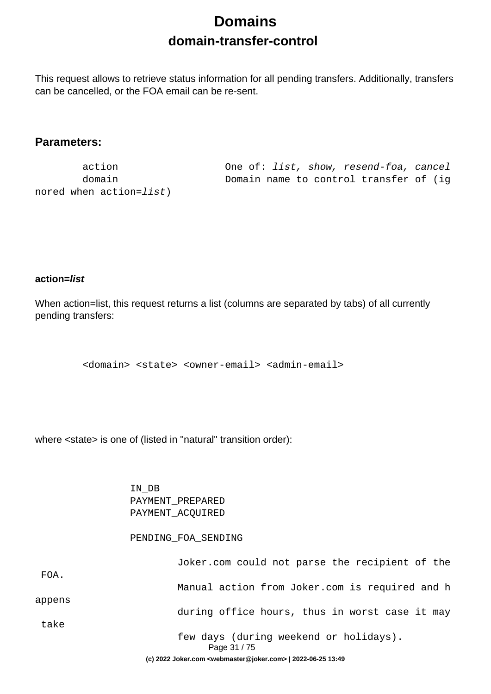# **Domains domain-transfer-control**

<span id="page-30-0"></span>This request allows to retrieve status information for all pending transfers. Additionally, transfers can be cancelled, or the FOA email can be re-sent.

### **Parameters:**

nored when action=list)

 action One of: list, show, resend-foa, cancel domain Domain name to control transfer of (ig

### **action=list**

When action=list, this request returns a list (columns are separated by tabs) of all currently pending transfers:

<domain> <state> <owner-email> <admin-email>

where <state> is one of (listed in "natural" transition order):

 IN\_DB PAYMENT\_PREPARED PAYMENT\_ACQUIRED

#### PENDING\_FOA\_SENDING

|        | Page 31 / 75<br>(c) 2022 Joker.com <webmaster@joker.com>   2022-06-25 13:49</webmaster@joker.com> |
|--------|---------------------------------------------------------------------------------------------------|
|        | few days (during weekend or holidays).                                                            |
| take   |                                                                                                   |
| appens | during office hours, thus in worst case it may                                                    |
|        | Manual action from Joker.com is required and h                                                    |
| FOA.   |                                                                                                   |
|        | Joker.com could not parse the recipient of the                                                    |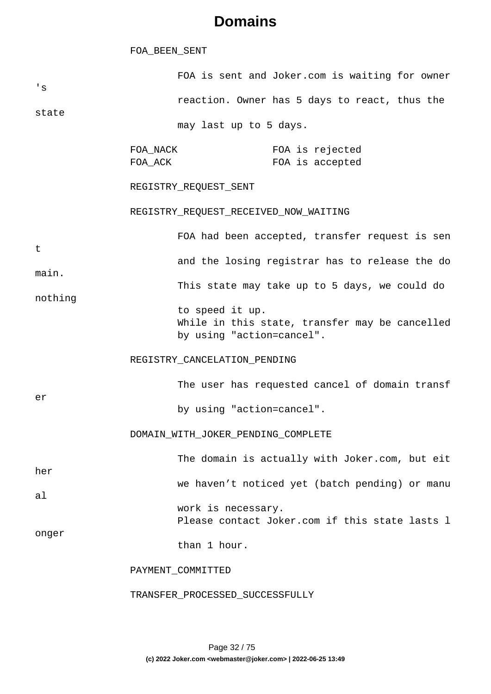#### FOA\_BEEN\_SENT

| $^{\prime}$ S<br>state                         |                                                                                                 | FOA is sent and Joker.com is waiting for owner |                                    |  |  |
|------------------------------------------------|-------------------------------------------------------------------------------------------------|------------------------------------------------|------------------------------------|--|--|
|                                                |                                                                                                 | reaction. Owner has 5 days to react, thus the  |                                    |  |  |
|                                                | may last up to 5 days.                                                                          |                                                |                                    |  |  |
|                                                | FOA_NACK<br>FOA_ACK                                                                             |                                                | FOA is rejected<br>FOA is accepted |  |  |
| t<br>main.<br>nothing                          | REGISTRY_REQUEST_SENT                                                                           |                                                |                                    |  |  |
|                                                | REGISTRY_REQUEST_RECEIVED_NOW_WAITING                                                           |                                                |                                    |  |  |
|                                                |                                                                                                 | FOA had been accepted, transfer request is sen |                                    |  |  |
|                                                | and the losing registrar has to release the do<br>This state may take up to 5 days, we could do |                                                |                                    |  |  |
|                                                |                                                                                                 |                                                |                                    |  |  |
|                                                | er                                                                                              | REGISTRY_CANCELATION_PENDING                   |                                    |  |  |
| The user has requested cancel of domain transf |                                                                                                 |                                                |                                    |  |  |
|                                                |                                                                                                 | by using "action=cancel".                      |                                    |  |  |
| DOMAIN_WITH_JOKER_PENDING_COMPLETE             |                                                                                                 |                                                |                                    |  |  |
| her<br>a <sub>l</sub><br>onger                 |                                                                                                 | The domain is actually with Joker.com, but eit |                                    |  |  |
|                                                |                                                                                                 | we haven't noticed yet (batch pending) or manu |                                    |  |  |
|                                                | work is necessary.<br>Please contact Joker.com if this state lasts 1                            |                                                |                                    |  |  |
|                                                |                                                                                                 | than 1 hour.                                   |                                    |  |  |
|                                                | PAYMENT_COMMITTED                                                                               |                                                |                                    |  |  |
|                                                | TRANSFER_PROCESSED_SUCCESSFULLY                                                                 |                                                |                                    |  |  |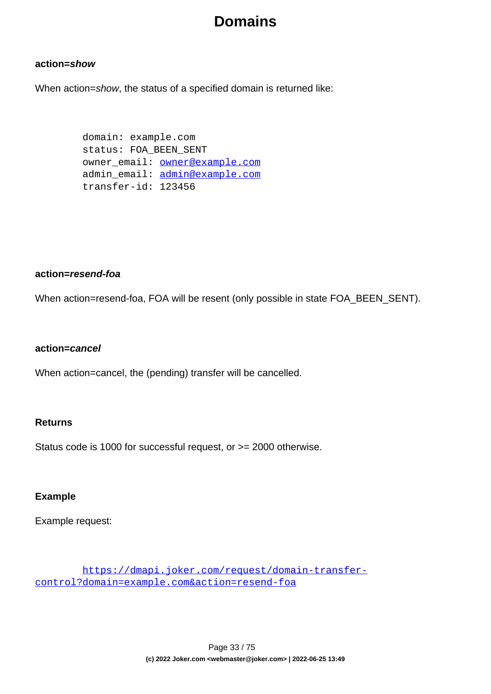#### **action=show**

When action=show, the status of a specified domain is returned like:

 domain: example.com status: FOA\_BEEN\_SENT owner email: **owner@example.com**  admin\_email: admin@example.com transfer-id: 123456

#### **action=resend-foa**

When action=resend-foa, FOA will be resent (only possible in state FOA\_BEEN\_SENT).

#### **action=cancel**

When action=cancel, the (pending) transfer will be cancelled.

#### **Returns**

Status code is 1000 for successful request, or >= 2000 otherwise.

#### **Example**

Example request:

 https://dmapi.joker.com/request/domain-transfercontrol?domain=example.com&action=resend-foa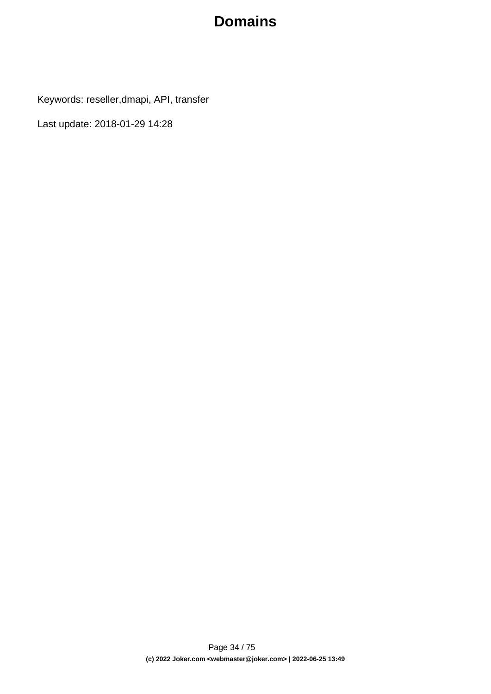Keywords: reseller,dmapi, API, transfer

Last update: 2018-01-29 14:28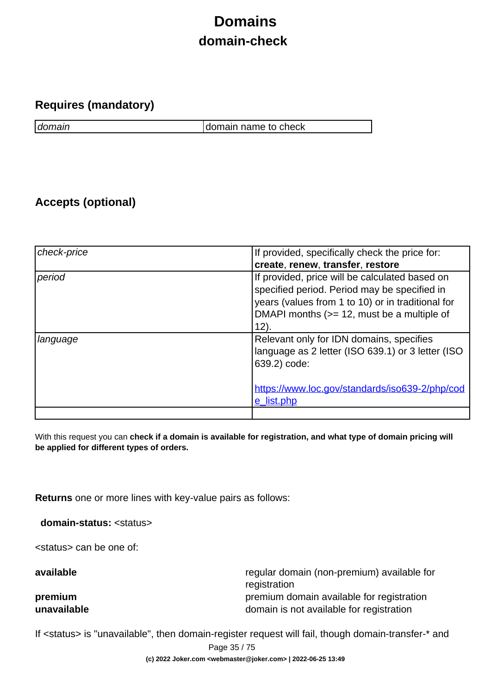# **Domains domain-check**

### <span id="page-34-0"></span>**Requires (mandatory)**

domain domain name to check

## **Accepts (optional)**

| check-price | If provided, specifically check the price for:                                                                                                                                                               |
|-------------|--------------------------------------------------------------------------------------------------------------------------------------------------------------------------------------------------------------|
|             | create, renew, transfer, restore                                                                                                                                                                             |
| period      | If provided, price will be calculated based on<br>specified period. Period may be specified in<br>years (values from 1 to 10) or in traditional for<br>DMAPI months (>= 12, must be a multiple of<br>$12)$ . |
| language    | Relevant only for IDN domains, specifies<br>language as 2 letter (ISO 639.1) or 3 letter (ISO<br>639.2) code:<br>https://www.loc.gov/standards/iso639-2/php/cod<br>e list.php                                |
|             |                                                                                                                                                                                                              |

With this request you can **check if a domain is available for registration, and what type of domain pricing will be applied for different types of orders.**

**Returns** one or more lines with key-value pairs as follows:

**domain-status:** <status>

<status> can be one of:

**available** regular domain (non-premium) available for registration **premium premium** premium domain available for registration **unavailable domain is not available for registration** 

If <status> is "unavailable", then domain-register request will fail, though domain-transfer-\* and

Page 35 / 75

**(c) 2022 Joker.com <webmaster@joker.com> | 2022-06-25 13:49**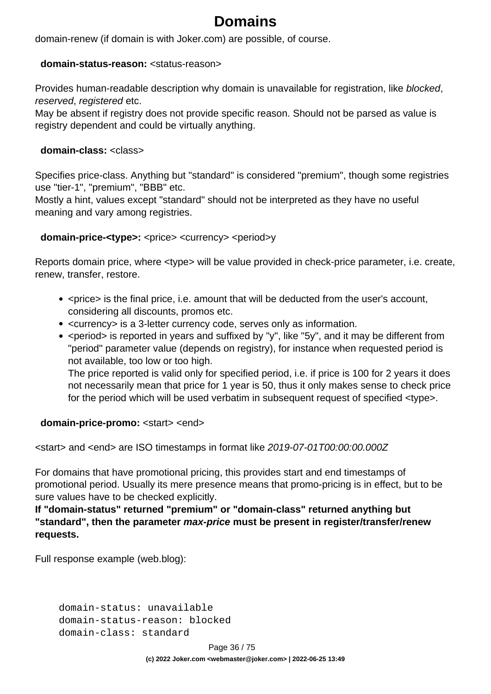domain-renew (if domain is with Joker.com) are possible, of course.

#### **domain-status-reason:** <status-reason>

Provides human-readable description why domain is unavailable for registration, like blocked, reserved, registered etc.

May be absent if registry does not provide specific reason. Should not be parsed as value is registry dependent and could be virtually anything.

#### **domain-class:** <class>

Specifies price-class. Anything but "standard" is considered "premium", though some registries use "tier-1", "premium", "BBB" etc.

Mostly a hint, values except "standard" should not be interpreted as they have no useful meaning and vary among registries.

### **domain-price-<type>:** <price> <currency> <period>y

Reports domain price, where <type> will be value provided in check-price parameter, i.e. create, renew, transfer, restore.

- <price> is the final price, i.e. amount that will be deducted from the user's account, considering all discounts, promos etc.
- <currency> is a 3-letter currency code, serves only as information.
- < period > is reported in years and suffixed by "y", like "5y", and it may be different from "period" parameter value (depends on registry), for instance when requested period is not available, too low or too high.

The price reported is valid only for specified period, i.e. if price is 100 for 2 years it does not necessarily mean that price for 1 year is 50, thus it only makes sense to check price for the period which will be used verbatim in subsequent request of specified <type>.

### **domain-price-promo:** <start> <end>

<start> and <end> are ISO timestamps in format like 2019-07-01T00:00:00.000Z

For domains that have promotional pricing, this provides start and end timestamps of promotional period. Usually its mere presence means that promo-pricing is in effect, but to be sure values have to be checked explicitly.

**If "domain-status" returned "premium" or "domain-class" returned anything but "standard", then the parameter max-price must be present in register/transfer/renew requests.** 

Full response example (web.blog):

 domain-status: unavailable domain-status-reason: blocked domain-class: standard

Page 36 / 75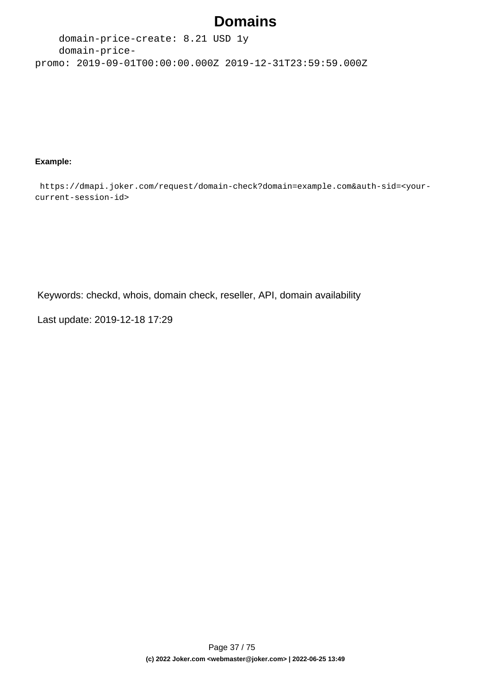# **Domains**

 domain-price-create: 8.21 USD 1y domain-pricepromo: 2019-09-01T00:00:00.000Z 2019-12-31T23:59:59.000Z

### **Example:**

 https://dmapi.joker.com/request/domain-check?domain=example.com&auth-sid=<yourcurrent-session-id>

Keywords: checkd, whois, domain check, reseller, API, domain availability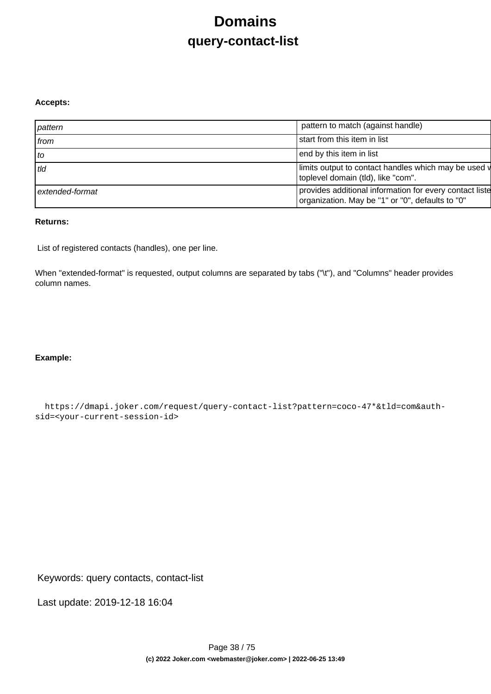# **Domains query-contact-list**

#### **Accepts:**

| pattern         | pattern to match (against handle)                                                                           |
|-----------------|-------------------------------------------------------------------------------------------------------------|
| from            | start from this item in list                                                                                |
| to              | end by this item in list                                                                                    |
| tld             | limits output to contact handles which may be used v<br>toplevel domain (tld), like "com".                  |
| extended-format | provides additional information for every contact liste<br>organization. May be "1" or "0", defaults to "0" |

### **Returns:**

List of registered contacts (handles), one per line.

When "extended-format" is requested, output columns are separated by tabs ("\t"), and "Columns" header provides column names.

### **Example:**

 https://dmapi.joker.com/request/query-contact-list?pattern=coco-47\*&tld=com&authsid=<your-current-session-id>

Keywords: query contacts, contact-list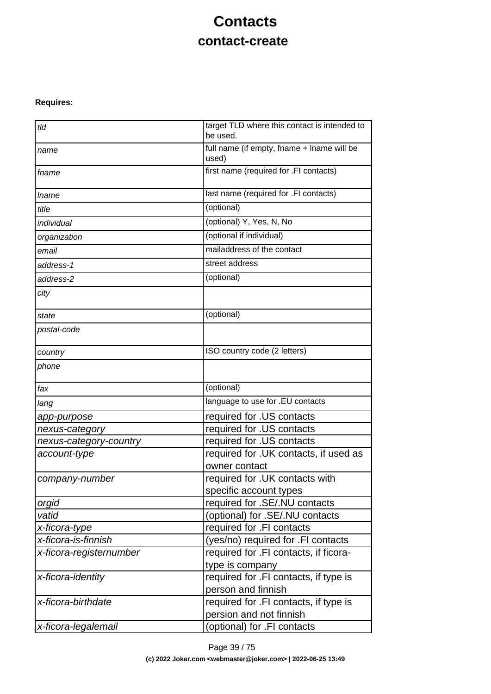# **Contacts contact-create**

### **Requires:**

| tld                     | target TLD where this contact is intended to<br>be used.         |
|-------------------------|------------------------------------------------------------------|
| name                    | full name (if empty, fname + lname will be<br>used)              |
| fname                   | first name (required for .FI contacts)                           |
| <i>Iname</i>            | last name (required for .FI contacts)                            |
| title                   | (optional)                                                       |
| individual              | (optional) Y, Yes, N, No                                         |
| organization            | (optional if individual)                                         |
| email                   | mailaddress of the contact                                       |
| address-1               | street address                                                   |
| address-2               | (optional)                                                       |
| city                    |                                                                  |
| state                   | (optional)                                                       |
| postal-code             |                                                                  |
| country                 | ISO country code (2 letters)                                     |
| phone                   |                                                                  |
| fax                     | (optional)                                                       |
| lang                    | language to use for .EU contacts                                 |
| app-purpose             | required for .US contacts                                        |
| nexus-category          | required for .US contacts                                        |
| nexus-category-country  | required for .US contacts                                        |
| account-type            | required for . UK contacts, if used as<br>owner contact          |
| company-number          | required for .UK contacts with                                   |
|                         | specific account types                                           |
| orgid                   | required for .SE/.NU contacts                                    |
| vatid                   | (optional) for .SE/.NU contacts                                  |
| x-ficora-type           | required for .FI contacts                                        |
| x-ficora-is-finnish     | (yes/no) required for .FI contacts                               |
| x-ficora-registernumber | required for .FI contacts, if ficora-<br>type is company         |
| x-ficora-identity       | required for .FI contacts, if type is<br>person and finnish      |
| x-ficora-birthdate      | required for .FI contacts, if type is<br>persion and not finnish |
| x-ficora-legalemail     | (optional) for .FI contacts                                      |
|                         |                                                                  |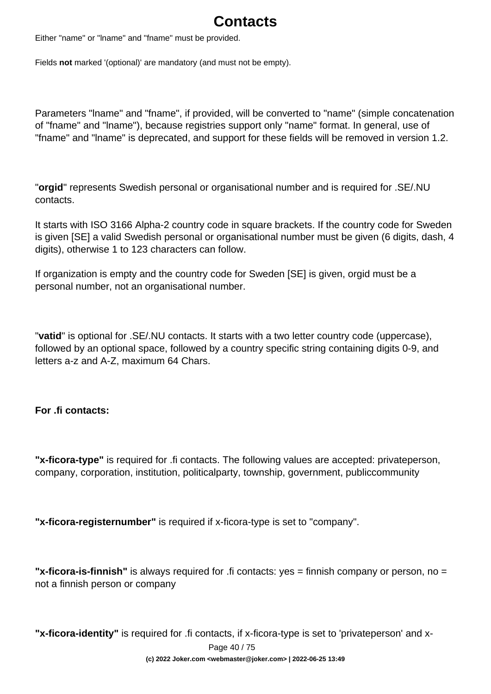# **Contacts**

Either "name" or "lname" and "fname" must be provided.

Fields **not** marked '(optional)' are mandatory (and must not be empty).

Parameters "lname" and "fname", if provided, will be converted to "name" (simple concatenation of "fname" and "lname"), because registries support only "name" format. In general, use of "fname" and "lname" is deprecated, and support for these fields will be removed in version 1.2.

"**orgid**" represents Swedish personal or organisational number and is required for .SE/.NU contacts.

It starts with ISO 3166 Alpha-2 country code in square brackets. If the country code for Sweden is given [SE] a valid Swedish personal or organisational number must be given (6 digits, dash, 4 digits), otherwise 1 to 123 characters can follow.

If organization is empty and the country code for Sweden [SE] is given, orgid must be a personal number, not an organisational number.

"**vatid**" is optional for .SE/.NU contacts. It starts with a two letter country code (uppercase), followed by an optional space, followed by a country specific string containing digits 0-9, and letters a-z and A-Z, maximum 64 Chars.

### **For .fi contacts:**

**"x-ficora-type"** is required for .fi contacts. The following values are accepted: privateperson, company, corporation, institution, politicalparty, township, government, publiccommunity

**"x-ficora-registernumber"** is required if x-ficora-type is set to "company".

**"x-ficora-is-finnish"** is always required for .fi contacts: yes = finnish company or person, no = not a finnish person or company

**"x-ficora-identity"** is required for .fi contacts, if x-ficora-type is set to 'privateperson' and x-

Page 40 / 75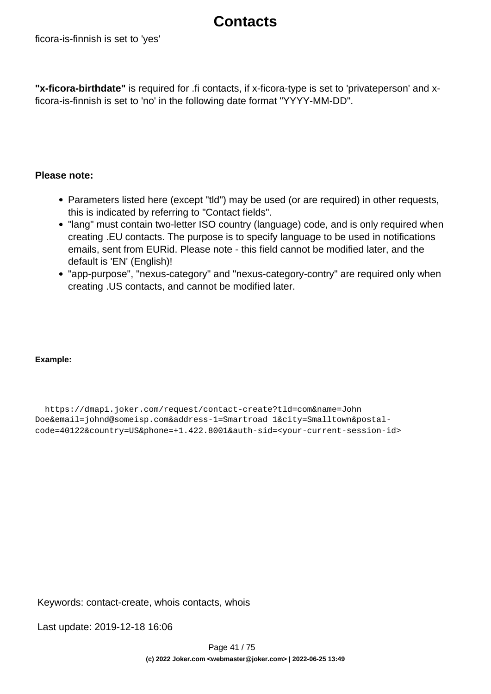## **Contacts**

**"x-ficora-birthdate"** is required for .fi contacts, if x-ficora-type is set to 'privateperson' and xficora-is-finnish is set to 'no' in the following date format "YYYY-MM-DD".

### **Please note:**

- Parameters listed here (except "tid") may be used (or are required) in other requests, this is indicated by referring to "Contact fields".
- "lang" must contain two-letter ISO country (language) code, and is only required when creating .EU contacts. The purpose is to specify language to be used in notifications emails, sent from EURid. Please note - this field cannot be modified later, and the default is 'EN' (English)!
- "app-purpose", "nexus-category" and "nexus-category-contry" are required only when creating .US contacts, and cannot be modified later.

### **Example:**

 https://dmapi.joker.com/request/contact-create?tld=com&name=John Doe&email=johnd@someisp.com&address-1=Smartroad 1&city=Smalltown&postalcode=40122&country=US&phone=+1.422.8001&auth-sid=<your-current-session-id>

Keywords: contact-create, whois contacts, whois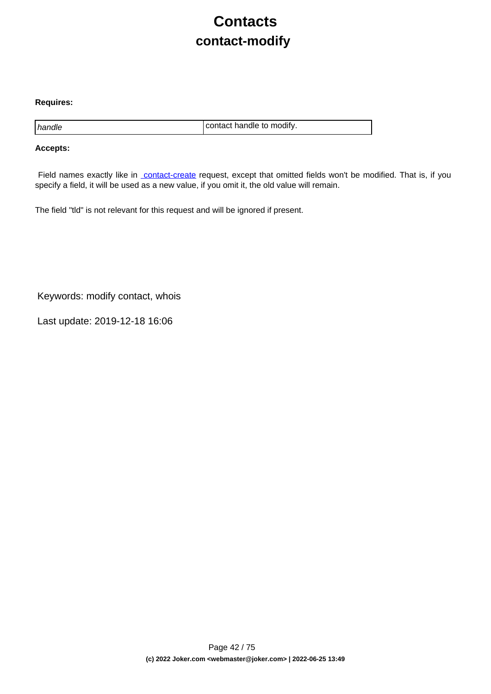# **Contacts contact-modify**

### **Requires:**

handle contact handle to modify.

### **Accepts:**

Field names exactly like in [contact-create](index.php?action=artikel&cat=28&id=30&artlang=en) request, except that omitted fields won't be modified. That is, if you specify a field, it will be used as a new value, if you omit it, the old value will remain.

The field "tld" is not relevant for this request and will be ignored if present.

Keywords: modify contact, whois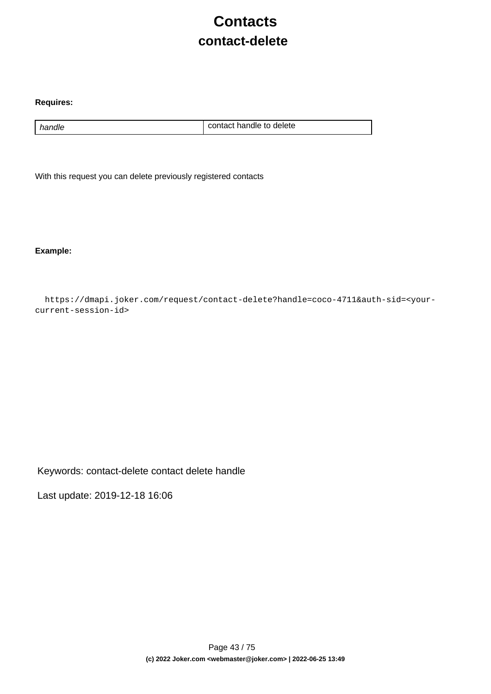# **Contacts contact-delete**

### **Requires:**

handle handle contact handle to delete

With this request you can delete previously registered contacts

**Example:**

 https://dmapi.joker.com/request/contact-delete?handle=coco-4711&auth-sid=<yourcurrent-session-id>

Keywords: contact-delete contact delete handle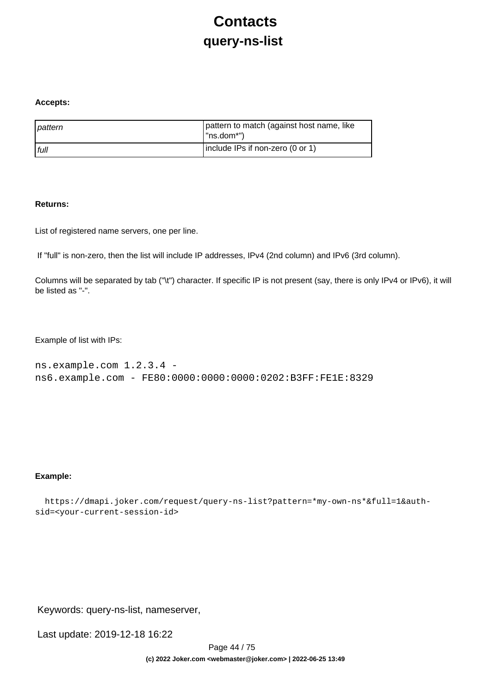# **Contacts query-ns-list**

#### **Accepts:**

| pattern | pattern to match (against host name, like<br>I "ns.dom*") |
|---------|-----------------------------------------------------------|
| l full  | include IPs if non-zero (0 or 1)                          |

### **Returns:**

List of registered name servers, one per line.

If "full" is non-zero, then the list will include IP addresses, IPv4 (2nd column) and IPv6 (3rd column).

Columns will be separated by tab ("\t") character. If specific IP is not present (say, there is only IPv4 or IPv6), it will be listed as "-".

Example of list with IPs:

```
ns.example.com 1.2.3.4 - 
ns6.example.com - FE80:0000:0000:0000:0202:B3FF:FE1E:8329
```
### **Example:**

```
 https://dmapi.joker.com/request/query-ns-list?pattern=*my-own-ns*&full=1&auth-
sid=<your-current-session-id>
```
Keywords: query-ns-list, nameserver,

Last update: 2019-12-18 16:22

Page 44 / 75 **(c) 2022 Joker.com <webmaster@joker.com> | 2022-06-25 13:49**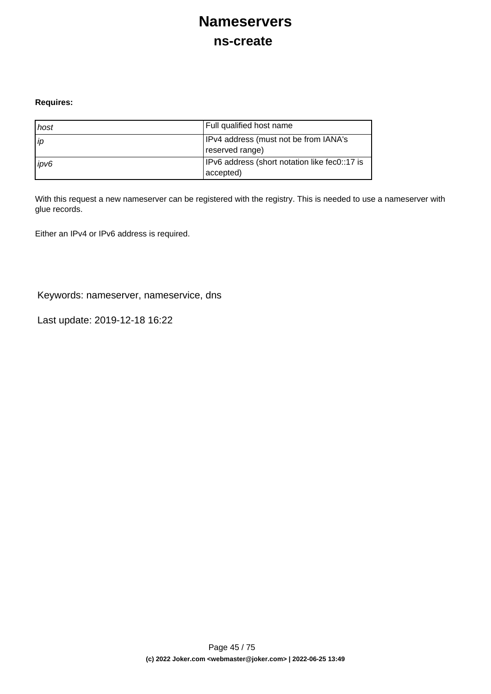## **Nameservers ns-create**

### **Requires:**

| host | Full qualified host name                                   |
|------|------------------------------------------------------------|
| l ip | IPv4 address (must not be from IANA's<br>reserved range)   |
| ipv6 | IPv6 address (short notation like fec0::17 is<br>accepted) |

With this request a new nameserver can be registered with the registry. This is needed to use a nameserver with glue records.

Either an IPv4 or IPv6 address is required.

Keywords: nameserver, nameservice, dns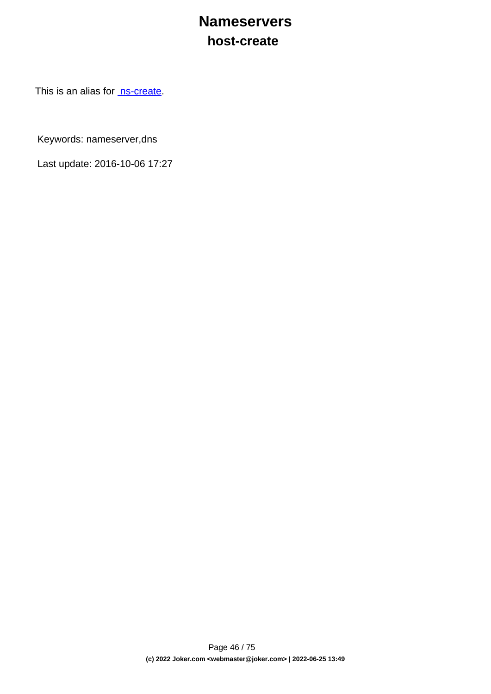## **Nameservers host-create**

This is an alias for [ns-create.](index.php?action=artikel&cat=29&id=34&artlang=en)

Keywords: nameserver,dns

Last update: 2016-10-06 17:27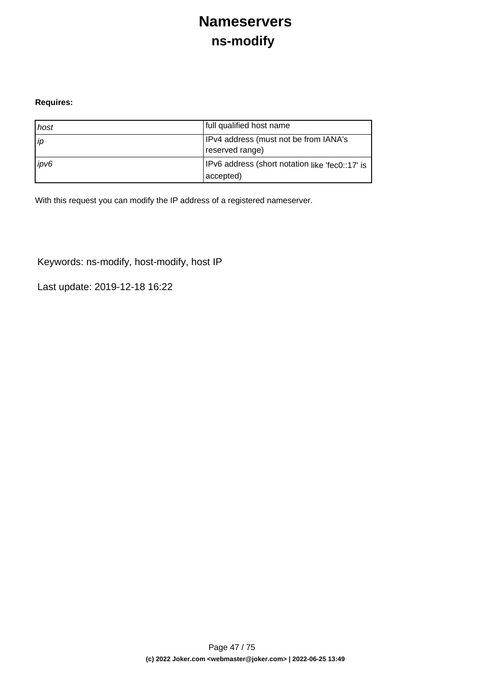## **Nameservers ns-modify**

### **Requires:**

| host | full qualified host name                                      |
|------|---------------------------------------------------------------|
| ip   | IPv4 address (must not be from IANA's<br>reserved range)      |
| ipv6 | IPv6 address (short notation like 'fec0::17' is<br>(accepted) |

With this request you can modify the IP address of a registered nameserver.

Keywords: ns-modify, host-modify, host IP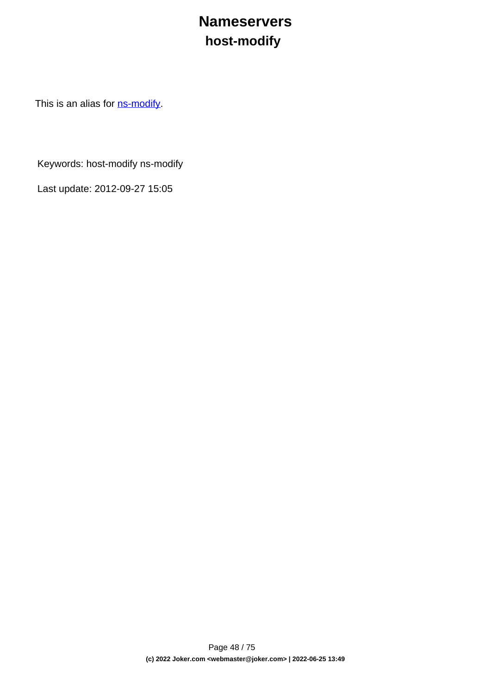# **Nameservers host-modify**

This is an alias for **ns-modify**.

Keywords: host-modify ns-modify

Last update: 2012-09-27 15:05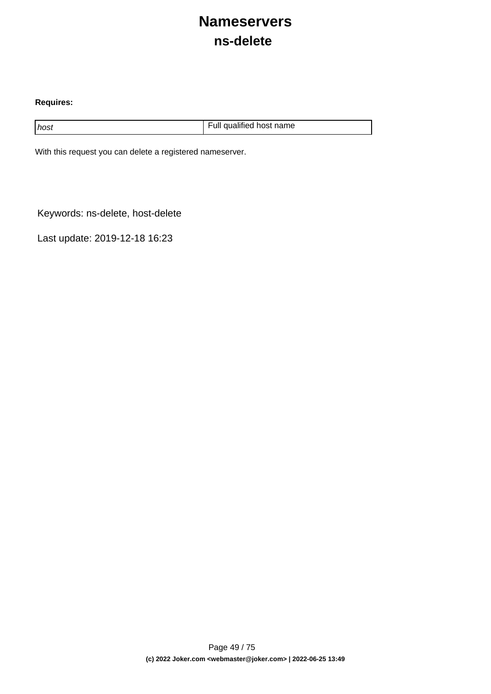## **Nameservers ns-delete**

### **Requires:**

host host host name host name host name host name host name

With this request you can delete a registered nameserver.

Keywords: ns-delete, host-delete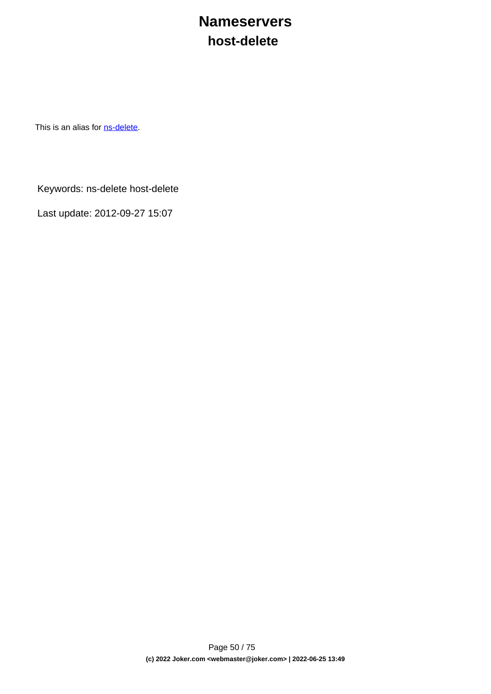## **Nameservers host-delete**

This is an alias for **[ns-delete](index.php?action=artikel&cat=29&id=38&artlang=en)**.

Keywords: ns-delete host-delete

Last update: 2012-09-27 15:07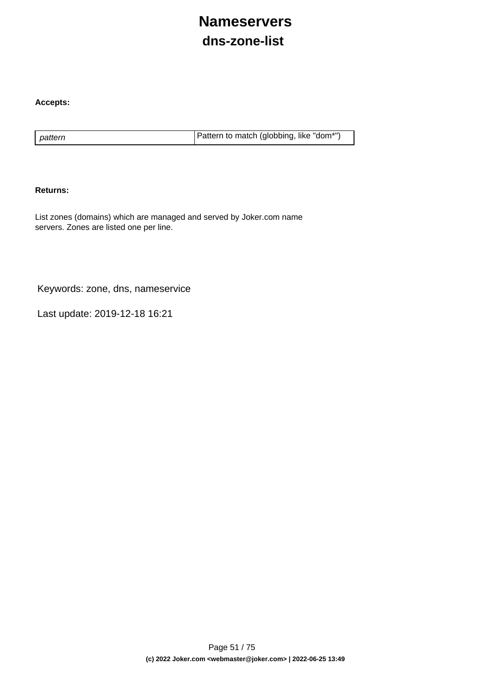# **Nameservers dns-zone-list**

### **Accepts:**

pattern **Pattern is a pattern to match (globbing, like "dom\*")** 

### **Returns:**

List zones (domains) which are managed and served by Joker.com name servers. Zones are listed one per line.

Keywords: zone, dns, nameservice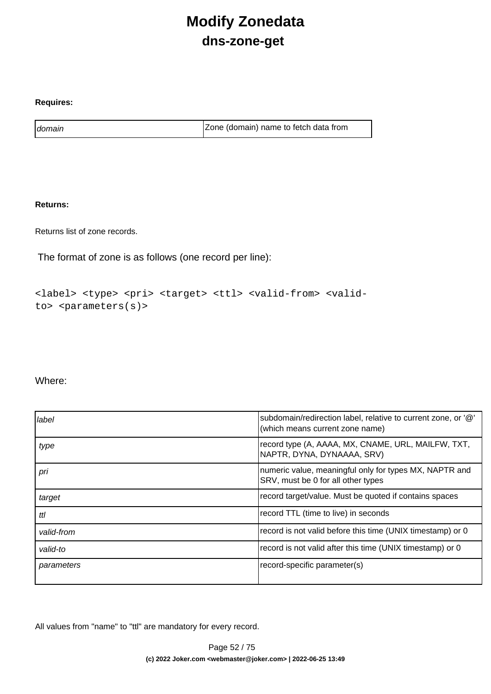# **Modify Zonedata dns-zone-get**

### **Requires:**

domain domain and a contract a contract a late of  $\vert$  Zone (domain) name to fetch data from

### **Returns:**

Returns list of zone records.

The format of zone is as follows (one record per line):

```
<label> <type> <pri> <target> <ttl> <valid-from> <valid-
to> <parameters(s)>
```
### Where:

| label      | subdomain/redirection label, relative to current zone, or '@'<br>(which means current zone name) |
|------------|--------------------------------------------------------------------------------------------------|
| type       | record type (A, AAAA, MX, CNAME, URL, MAILFW, TXT,<br>NAPTR, DYNA, DYNAAAA, SRV)                 |
| pri        | numeric value, meaningful only for types MX, NAPTR and<br>SRV, must be 0 for all other types     |
| target     | record target/value. Must be quoted if contains spaces                                           |
| ttl        | record TTL (time to live) in seconds                                                             |
| valid-from | record is not valid before this time (UNIX timestamp) or 0                                       |
| valid-to   | record is not valid after this time (UNIX timestamp) or 0                                        |
| parameters | record-specific parameter(s)                                                                     |

All values from "name" to "ttl" are mandatory for every record.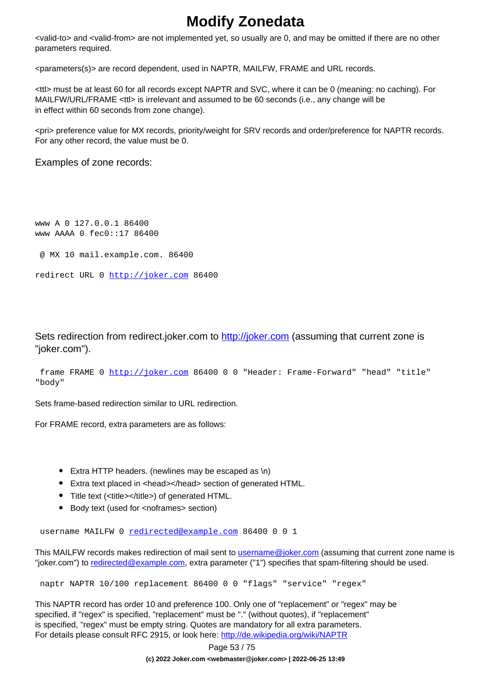## **Modify Zonedata**

<valid-to> and <valid-from> are not implemented yet, so usually are 0, and may be omitted if there are no other parameters required.

<parameters(s)> are record dependent, used in NAPTR, MAILFW, FRAME and URL records.

<ttl> must be at least 60 for all records except NAPTR and SVC, where it can be 0 (meaning: no caching). For MAILFW/URL/FRAME <ttl> is irrelevant and assumed to be 60 seconds (i.e., any change will be in effect within 60 seconds from zone change).

<pri> preference value for MX records, priority/weight for SRV records and order/preference for NAPTR records. For any other record, the value must be 0.

Examples of zone records:

www A 0 127.0.0.1 86400 www AAAA 0 fec0::17 86400 @ MX 10 mail.example.com. 86400

```
redirect URL 0 http://joker.com 86400
```
Sets redirection from redirect.joker.com to [http://joker.com](..//) (assuming that current zone is "joker.com").

```
 frame FRAME 0 http://joker.com 86400 0 0 "Header: Frame-Forward" "head" "title"
"body"
```
Sets frame-based redirection similar to URL redirection.

For FRAME record, extra parameters are as follows:

- Extra HTTP headers. (newlines may be escaped as \n)
- Extra text placed in <head></head> section of generated HTML.
- Title text (<title></title>) of generated HTML.
- Body text (used for <noframes> section)

username MAILFW 0 [redirected@example.com](mailto:redirected@example.com) 86400 0 0 1

This MAILFW records makes redirection of mail sent to [username@joker.com](mailto:username@joker.com) (assuming that current zone name is "joker.com") to [redirected@example.com](mailto:redirected@example.com), extra parameter ("1") specifies that spam-filtering should be used.

naptr NAPTR 10/100 replacement 86400 0 0 "flags" "service" "regex"

This NAPTR record has order 10 and preference 100. Only one of "replacement" or "regex" may be specified, if "regex" is specified, "replacement" must be "." (without quotes), if "replacement" is specified, "regex" must be empty string. Quotes are mandatory for all extra parameters. For details please consult RFC 2915, or look here:<http://de.wikipedia.org/wiki/NAPTR>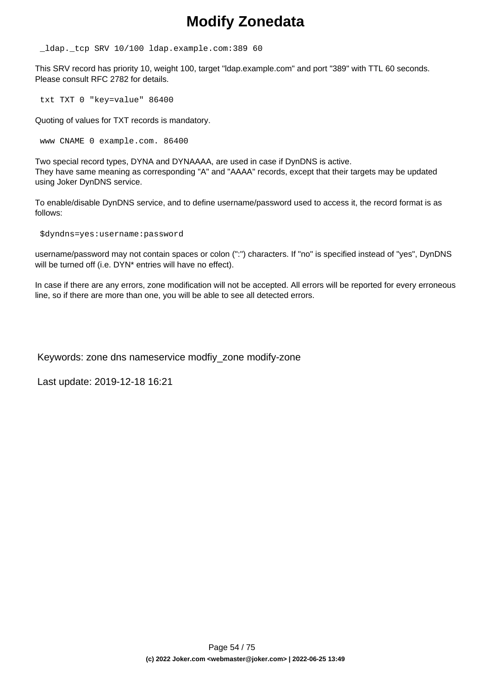## **Modify Zonedata**

\_ldap.\_tcp SRV 10/100 ldap.example.com:389 60

This SRV record has priority 10, weight 100, target "ldap.example.com" and port "389" with TTL 60 seconds. Please consult RFC 2782 for details.

txt TXT 0 "key=value" 86400

Quoting of values for TXT records is mandatory.

www CNAME 0 example.com. 86400

Two special record types, DYNA and DYNAAAA, are used in case if DynDNS is active. They have same meaning as corresponding "A" and "AAAA" records, except that their targets may be updated using Joker DynDNS service.

To enable/disable DynDNS service, and to define username/password used to access it, the record format is as follows:

\$dyndns=yes:username:password

username/password may not contain spaces or colon (":") characters. If "no" is specified instead of "yes", DynDNS will be turned off (i.e. DYN<sup>\*</sup> entries will have no effect).

In case if there are any errors, zone modification will not be accepted. All errors will be reported for every erroneous line, so if there are more than one, you will be able to see all detected errors.

Keywords: zone dns nameservice modfiy\_zone modify-zone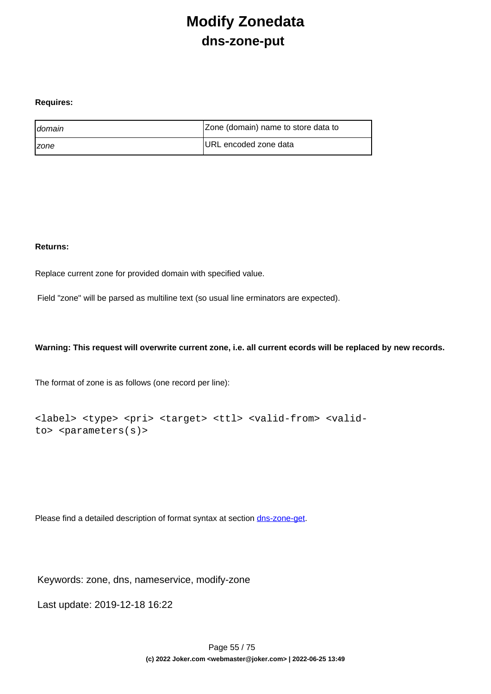## **Modify Zonedata dns-zone-put**

### **Requires:**

| <b>I</b> domain     | Zone (domain) name to store data to |
|---------------------|-------------------------------------|
| <i><b>Izone</b></i> | URL encoded zone data               |

### **Returns:**

Replace current zone for provided domain with specified value.

Field "zone" will be parsed as multiline text (so usual line erminators are expected).

### **Warning: This request will overwrite current zone, i.e. all current ecords will be replaced by new records.**

The format of zone is as follows (one record per line):

```
<label> <type> <pri> <target> <ttl> <valid-from> <valid-
to> <parameters(s)>
```
Please find a detailed description of format syntax at section [dns-zone-get.](index.php?action=artikel&cat=1&id=435&artlang=en)

Keywords: zone, dns, nameservice, modify-zone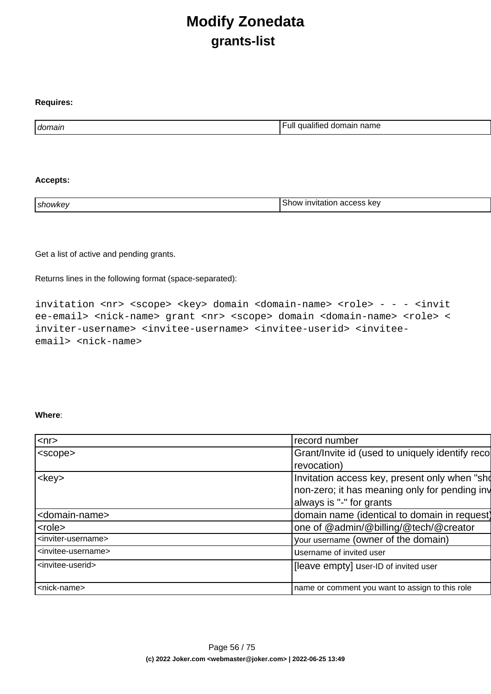## **Modify Zonedata grants-list**

| domain | $\cdots$<br>.<br>⊢ull<br>name<br>domain<br>qualitied |
|--------|------------------------------------------------------|

### **Accepts:**

**Requires:**

| אמח<<br><b>showkey</b> | kev<br>י ה<br><b>Invitation</b><br>.<br>auudoo |
|------------------------|------------------------------------------------|
|------------------------|------------------------------------------------|

Get a list of active and pending grants.

Returns lines in the following format (space-separated):

invitation <nr> <scope> <key> domain <domain-name> <role> - - - <invit ee-email> <nick-name> grant <nr> <scope> domain <domain-name> <role> < inviter-username> <invitee-username> <invitee-userid> <inviteeemail> <nick-name>

### **Where**:

| $<$ nr $>$                            | record number                                   |  |
|---------------------------------------|-------------------------------------------------|--|
| <scope></scope>                       | Grant/Invite id (used to uniquely identify reco |  |
|                                       | revocation)                                     |  |
| $<$ key $>$                           | Invitation access key, present only when "sho   |  |
|                                       | non-zero; it has meaning only for pending inv   |  |
|                                       | always is "-" for grants                        |  |
| <domain-name></domain-name>           | domain name (identical to domain in request)    |  |
| <role></role>                         | one of @admin/@billing/@tech/@creator           |  |
| <inviter-username></inviter-username> | your username (owner of the domain)             |  |
| <invitee-username></invitee-username> | Username of invited user                        |  |
| <invitee-userid></invitee-userid>     | [leave empty] user-ID of invited user           |  |
|                                       |                                                 |  |
| <nick-name></nick-name>               | name or comment you want to assign to this role |  |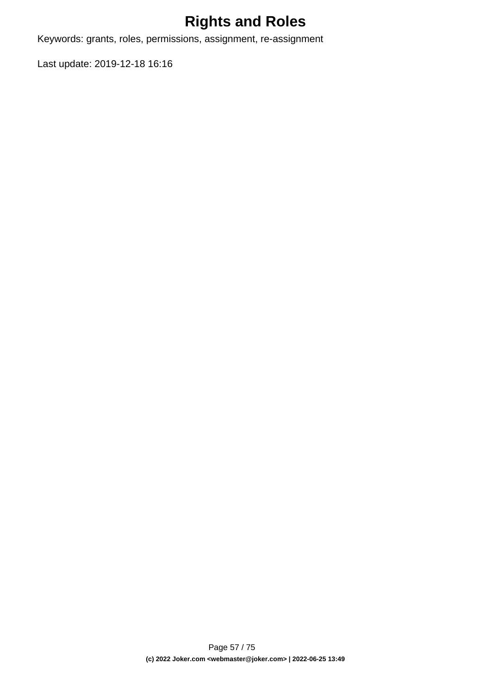# **Rights and Roles**

Keywords: grants, roles, permissions, assignment, re-assignment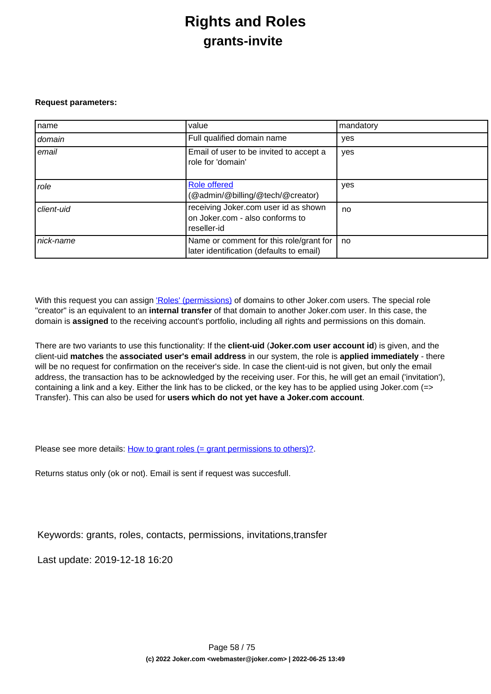## **Rights and Roles grants-invite**

#### **Request parameters:**

| name       | value                                                                                  | mandatory |
|------------|----------------------------------------------------------------------------------------|-----------|
| domain     | Full qualified domain name                                                             | yes       |
| email      | Email of user to be invited to accept a<br>role for 'domain'                           | yes       |
| role       | <b>Role offered</b><br>(@admin/@billing/@tech/@creator)                                | yes       |
| client-uid | receiving Joker.com user id as shown<br>on Joker.com - also conforms to<br>reseller-id | no        |
| nick-name  | Name or comment for this role/grant for<br>later identification (defaults to email)    | no        |

With this request you can assign ['Roles' \(permissions\)](index.php?action=artikel&cat=5&id=446&artlang=en) of domains to other Joker.com users. The special role "creator" is an equivalent to an **internal transfer** of that domain to another Joker.com user. In this case, the domain is **assigned** to the receiving account's portfolio, including all rights and permissions on this domain.

There are two variants to use this functionality: If the **client-uid** (**Joker.com user account id**) is given, and the client-uid **matches** the **associated user's email address** in our system, the role is **applied immediately** - there will be no request for confirmation on the receiver's side. In case the client-uid is not given, but only the email address, the transaction has to be acknowledged by the receiving user. For this, he will get an email ('invitation'), containing a link and a key. Either the link has to be clicked, or the key has to be applied using Joker.com (=> Transfer). This can also be used for **users which do not yet have a Joker.com account**.

Please see more details: [How to grant roles \(= grant permissions to others\)?](index.php?action=artikel&cat=5&id=446&artlang=en)

Returns status only (ok or not). Email is sent if request was succesfull.

Keywords: grants, roles, contacts, permissions, invitations,transfer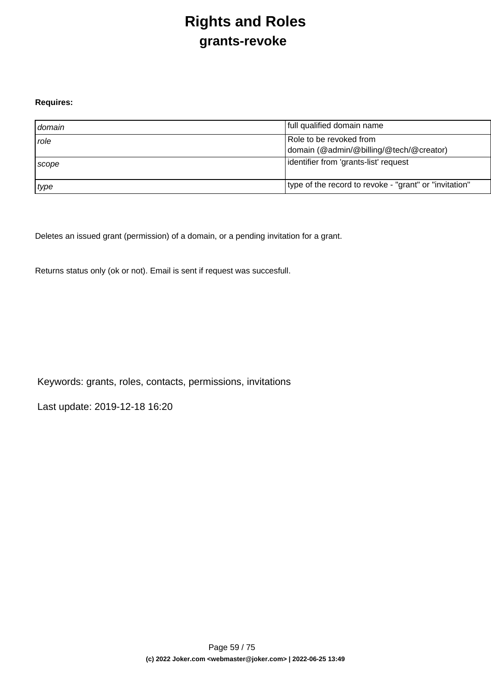# **Rights and Roles grants-revoke**

### **Requires:**

| domain      | full qualified domain name                                         |
|-------------|--------------------------------------------------------------------|
| <i>role</i> | Role to be revoked from<br>domain (@admin/@billing/@tech/@creator) |
| Scope       | lidentifier from 'grants-list' request                             |
| type        | type of the record to revoke - "grant" or "invitation"             |

Deletes an issued grant (permission) of a domain, or a pending invitation for a grant.

Returns status only (ok or not). Email is sent if request was succesfull.

Keywords: grants, roles, contacts, permissions, invitations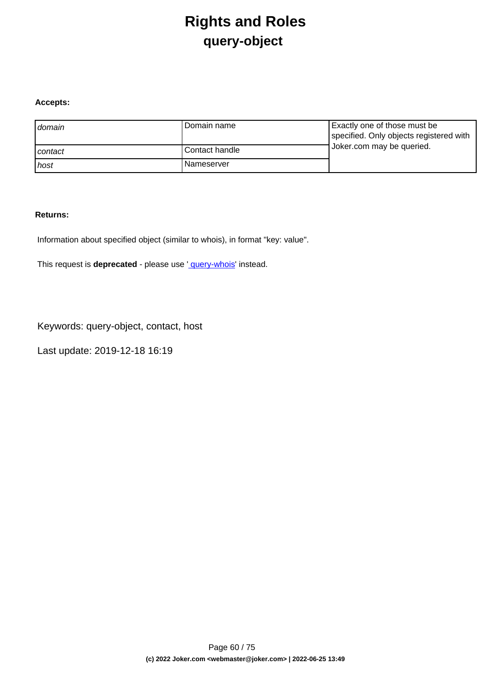## **Rights and Roles query-object**

### **Accepts:**

| domain  | l Domain name  | Exactly one of those must be<br>specified. Only objects registered with |
|---------|----------------|-------------------------------------------------------------------------|
| contact | Contact handle | Joker.com may be queried.                                               |
| host    | l Nameserver   |                                                                         |

### **Returns:**

Information about specified object (similar to whois), in format "key: value".

This request is **deprecated** - please use ' [query-whois](index.php?action=artikel&cat=79&id=455&artlang=en)' instead.

Keywords: query-object, contact, host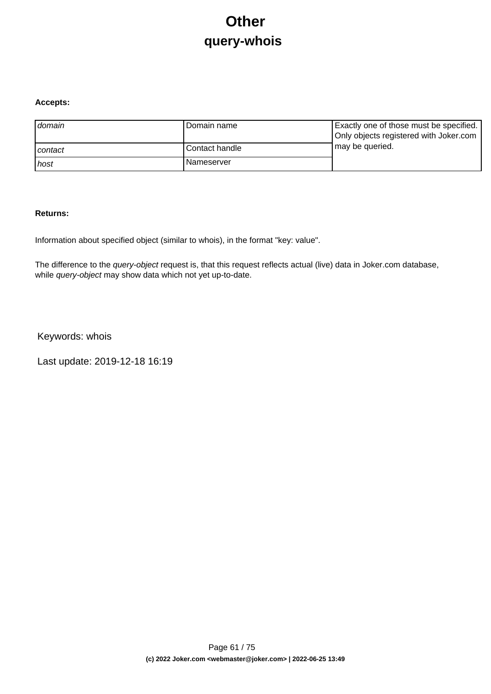# **Other query-whois**

### **Accepts:**

| domain  | Domain name       | Exactly one of those must be specified.<br>Only objects registered with Joker.com |
|---------|-------------------|-----------------------------------------------------------------------------------|
| contact | l Contact handle  | may be queried.                                                                   |
| ı host  | <b>Nameserver</b> |                                                                                   |

### **Returns:**

Information about specified object (similar to whois), in the format "key: value".

The difference to the *query-object* request is, that this request reflects actual (live) data in Joker.com database, while query-object may show data which not yet up-to-date.

Keywords: whois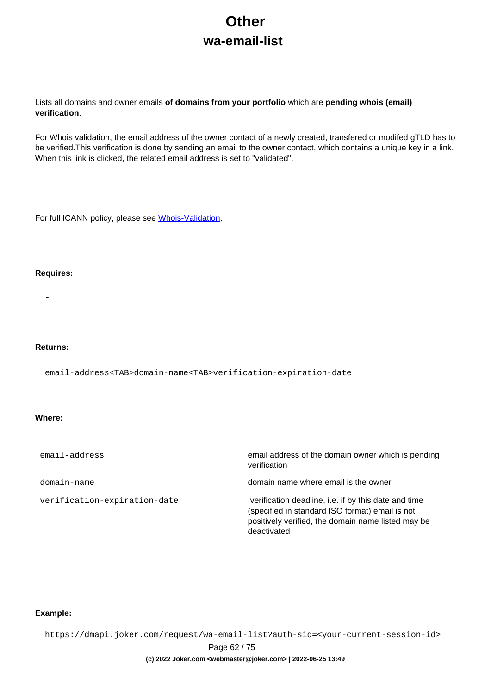# **Other wa-email-list**

Lists all domains and owner emails **of domains from your portfolio** which are **pending whois (email) verification**.

For Whois validation, the email address of the owner contact of a newly created, transfered or modifed gTLD has to be verified. This verification is done by sending an email to the owner contact, which contains a unique key in a link. When this link is clicked, the related email address is set to "validated".

For full ICANN policy, please see [Whois-Validation](https://joker.com/goto/icann_ra_whois).

#### **Requires:**

-

#### **Returns:**

email-address<TAB>domain-name<TAB>verification-expiration-date

### **Where:**

| email-address                | email address of the domain owner which is pending<br>verification                                                                                                           |  |  |  |  |
|------------------------------|------------------------------------------------------------------------------------------------------------------------------------------------------------------------------|--|--|--|--|
| domain-name                  | domain name where email is the owner                                                                                                                                         |  |  |  |  |
| verification-expiration-date | verification deadline, i.e. if by this date and time<br>(specified in standard ISO format) email is not<br>positively verified, the domain name listed may be<br>deactivated |  |  |  |  |

#### **Example:**

https://dmapi.joker.com/request/wa-email-list?auth-sid=<your-current-session-id>

Page 62 / 75

#### **(c) 2022 Joker.com <webmaster@joker.com> | 2022-06-25 13:49**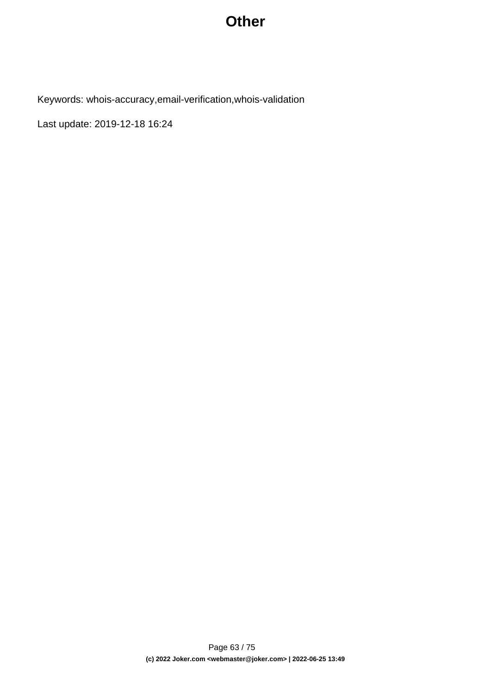### **Other**

Keywords: whois-accuracy,email-verification,whois-validation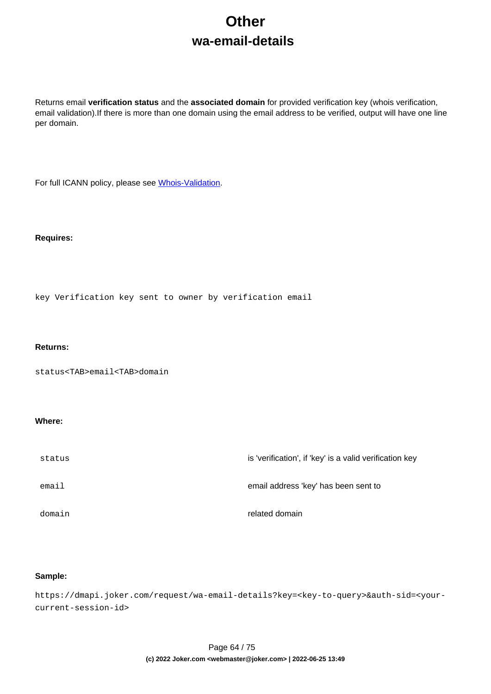# **Other wa-email-details**

Returns email **verification status** and the **associated domain** for provided verification key (whois verification, email validation).If there is more than one domain using the email address to be verified, output will have one line per domain.

For full ICANN policy, please see [Whois-Validation](https://joker.com/goto/icann_ra_whois).

#### **Requires:**

key Verification key sent to owner by verification email

#### **Returns:**

status<TAB>email<TAB>domain

#### **Where:**

| status | is 'verification', if 'key' is a valid verification key |
|--------|---------------------------------------------------------|
| email  | email address 'key' has been sent to                    |
| domain | related domain                                          |

### **Sample:**

https://dmapi.joker.com/request/wa-email-details?key=<key-to-query>&auth-sid=<yourcurrent-session-id>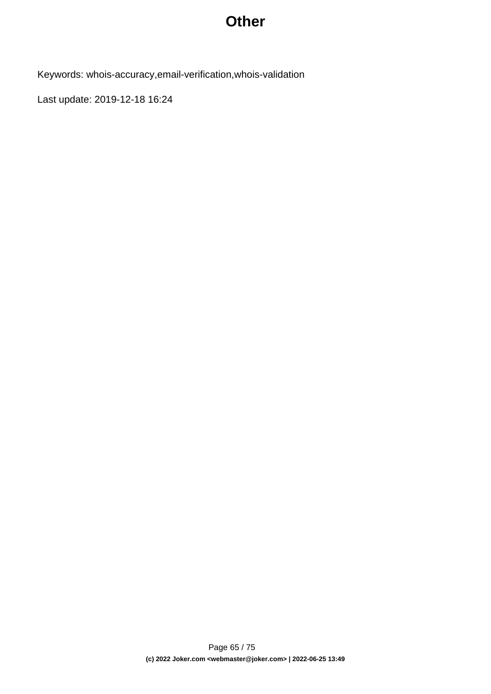### **Other**

Keywords: whois-accuracy,email-verification,whois-validation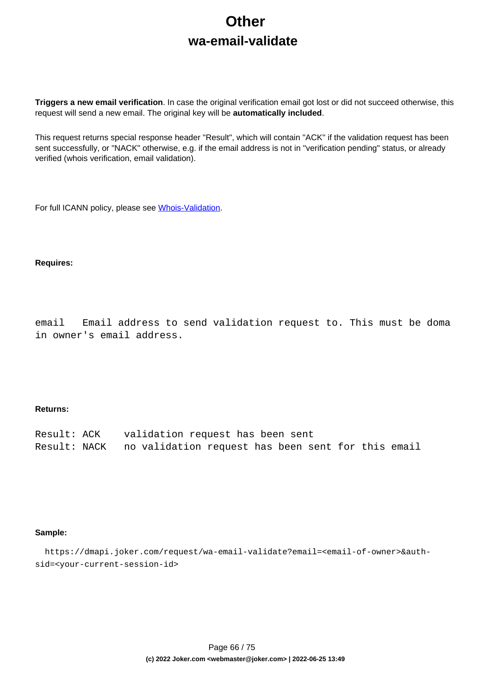# **Other wa-email-validate**

**Triggers a new email verification**. In case the original verification email got lost or did not succeed otherwise, this request will send a new email. The original key will be **automatically included**.

This request returns special response header "Result", which will contain "ACK" if the validation request has been sent successfully, or "NACK" otherwise, e.g. if the email address is not in "verification pending" status, or already verified (whois verification, email validation).

For full ICANN policy, please see [Whois-Validation](https://joker.com/goto/icann_ra_whois).

#### **Requires:**

email Email address to send validation request to. This must be doma in owner's email address.

#### **Returns:**

| Result: ACK | validation request has been sent                                |
|-------------|-----------------------------------------------------------------|
|             | Result: NACK no validation request has been sent for this email |

#### **Sample:**

 https://dmapi.joker.com/request/wa-email-validate?email=<email-of-owner>&authsid=<your-current-session-id>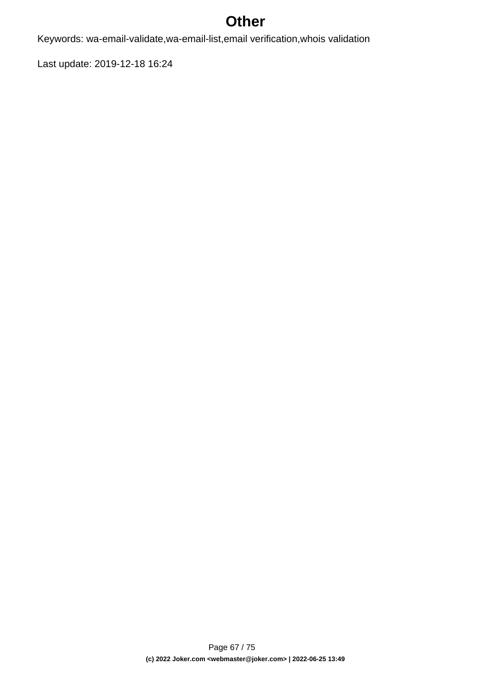## **Other**

Keywords: wa-email-validate,wa-email-list,email verification,whois validation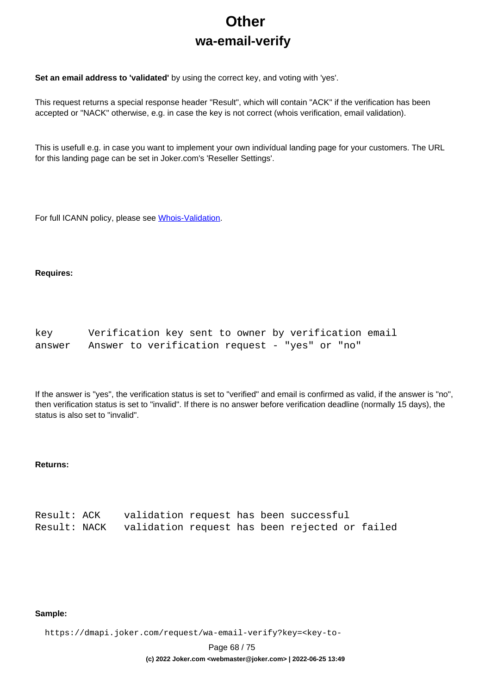# **Other wa-email-verify**

**Set an email address to 'validated'** by using the correct key, and voting with 'yes'.

This request returns a special response header "Result", which will contain "ACK" if the verification has been accepted or "NACK" otherwise, e.g. in case the key is not correct (whois verification, email validation).

This is usefull e.g. in case you want to implement your own indivídual landing page for your customers. The URL for this landing page can be set in Joker.com's 'Reseller Settings'.

For full ICANN policy, please see [Whois-Validation](https://joker.com/goto/icann_ra_whois).

#### **Requires:**

| key    | Verification key sent to owner by verification email |  |
|--------|------------------------------------------------------|--|
| answer | Answer to verification request - "yes" or "no"       |  |

If the answer is "yes", the verification status is set to "verified" and email is confirmed as valid, if the answer is "no", then verification status is set to "invalid". If there is no answer before verification deadline (normally 15 days), the status is also set to "invalid".

### **Returns:**

| Result: ACK | validation request has been successful                      |  |  |  |
|-------------|-------------------------------------------------------------|--|--|--|
|             | Result: NACK validation request has been rejected or failed |  |  |  |

#### **Sample:**

https://dmapi.joker.com/request/wa-email-verify?key=<key-to-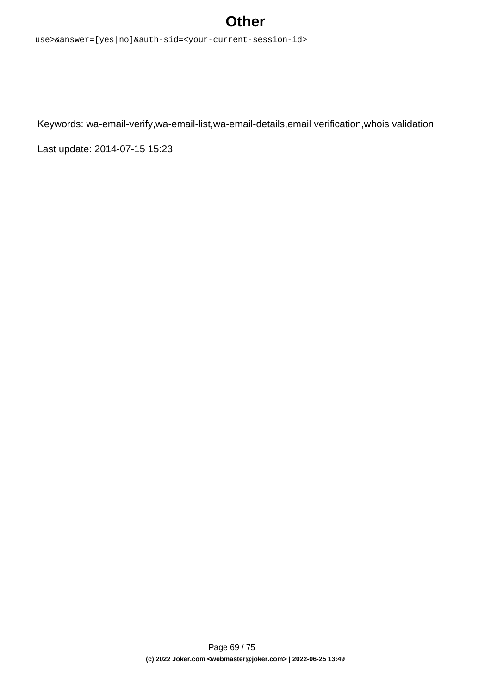## **Other**

use>&answer=[yes|no]&auth-sid=<your-current-session-id>

Keywords: wa-email-verify,wa-email-list,wa-email-details,email verification,whois validation

Last update: 2014-07-15 15:23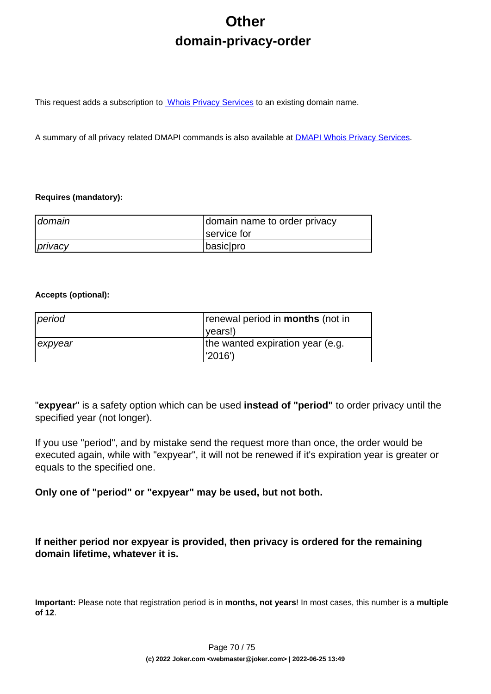# **Other domain-privacy-order**

This request adds a subscription to **Whois Privacy Services** to an existing domain name.

A summary of all privacy related DMAPI commands is also available at [DMAPI Whois Privacy Services](index.php?action=artikel&cat=22&id=477&artlang=en).

### **Requires (mandatory):**

| domain  | domain name to order privacy |
|---------|------------------------------|
|         | service for                  |
| privacy | basic pro                    |

### **Accepts (optional):**

| period  | renewal period in <b>months</b> (not in |
|---------|-----------------------------------------|
|         | ( <i>vears!</i>                         |
| expyear | the wanted expiration year (e.g.        |
|         | l'2016')                                |

"**expyear**" is a safety option which can be used **instead of "period"** to order privacy until the specified year (not longer).

If you use "period", and by mistake send the request more than once, the order would be executed again, while with "expyear", it will not be renewed if it's expiration year is greater or equals to the specified one.

**Only one of "period" or "expyear" may be used, but not both.**

**If neither period nor expyear is provided, then privacy is ordered for the remaining domain lifetime, whatever it is.**

**Important:** Please note that registration period is in **months, not years**! In most cases, this number is a **multiple of 12**.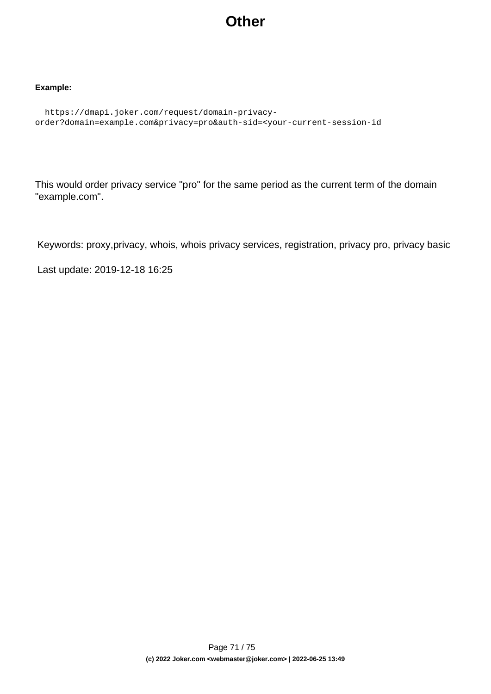## **Other**

### **Example:**

```
 https://dmapi.joker.com/request/domain-privacy-
order?domain=example.com&privacy=pro&auth-sid=<your-current-session-id
```
This would order privacy service "pro" for the same period as the current term of the domain "example.com".

Keywords: proxy,privacy, whois, whois privacy services, registration, privacy pro, privacy basic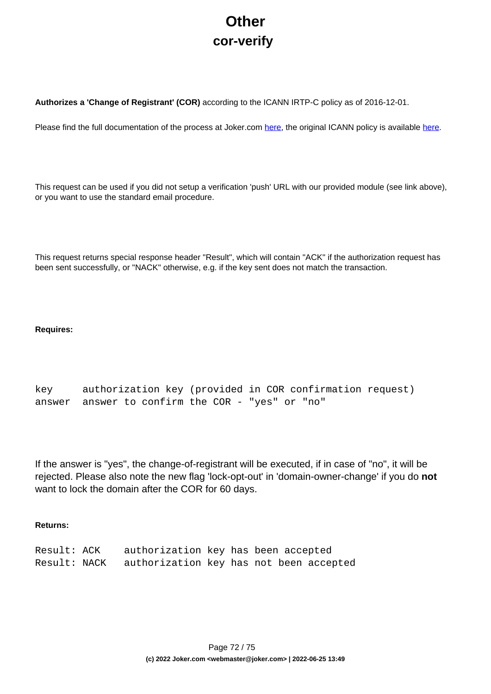# **Other cor-verify**

**Authorizes a 'Change of Registrant' (COR)** according to the ICANN IRTP-C policy as of 2016-12-01.

Please find the full documentation of the process at Joker.com [here,](https://joker.com/goto/resdocs) the original ICANN policy is available [here.](https://joker.com/goto/icann_irtp)

This request can be used if you did not setup a verification 'push' URL with our provided module (see link above), or you want to use the standard email procedure.

This request returns special response header "Result", which will contain "ACK" if the authorization request has been sent successfully, or "NACK" otherwise, e.g. if the key sent does not match the transaction.

### **Requires:**

```
key authorization key (provided in COR confirmation request)
answer answer to confirm the COR - "yes" or "no"
```
If the answer is "yes", the change-of-registrant will be executed, if in case of "no", it will be rejected. Please also note the new flag 'lock-opt-out' in 'domain-owner-change' if you do **not** want to lock the domain after the COR for 60 days.

### **Returns:**

| Result: ACK  | authorization key has been accepted     |  |  |  |
|--------------|-----------------------------------------|--|--|--|
| Result: NACK | authorization key has not been accepted |  |  |  |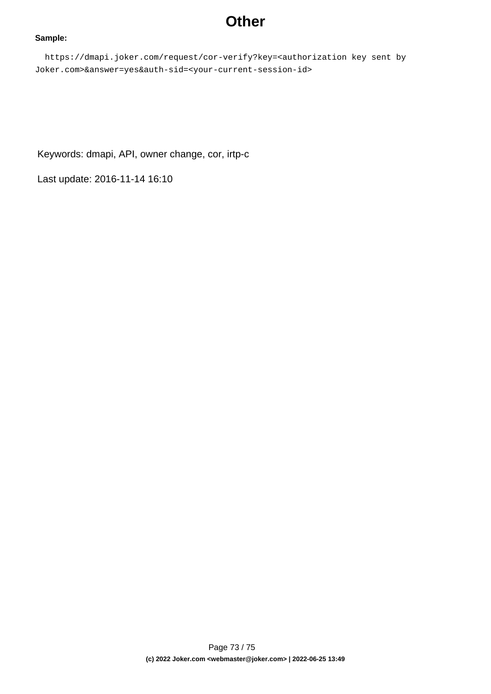# **Other**

#### **Sample:**

 https://dmapi.joker.com/request/cor-verify?key=<authorization key sent by Joker.com>&answer=yes&auth-sid=<your-current-session-id>

Keywords: dmapi, API, owner change, cor, irtp-c

Last update: 2016-11-14 16:10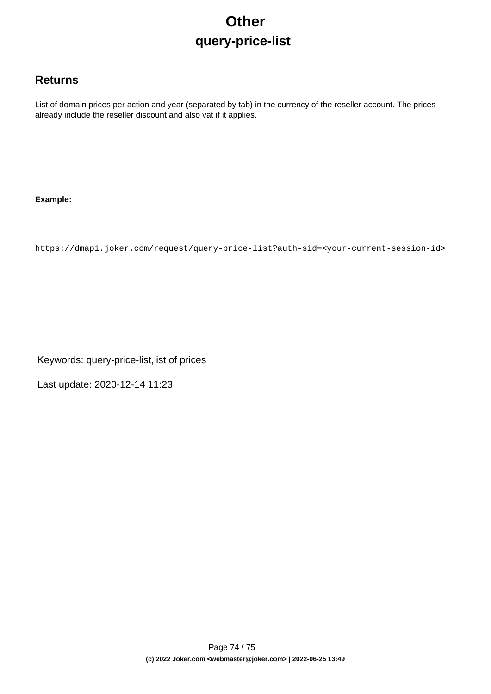# **Other query-price-list**

## **Returns**

List of domain prices per action and year (separated by tab) in the currency of the reseller account. The prices already include the reseller discount and also vat if it applies.

### **Example:**

https://dmapi.joker.com/request/query-price-list?auth-sid=<your-current-session-id>

Keywords: query-price-list,list of prices

Last update: 2020-12-14 11:23